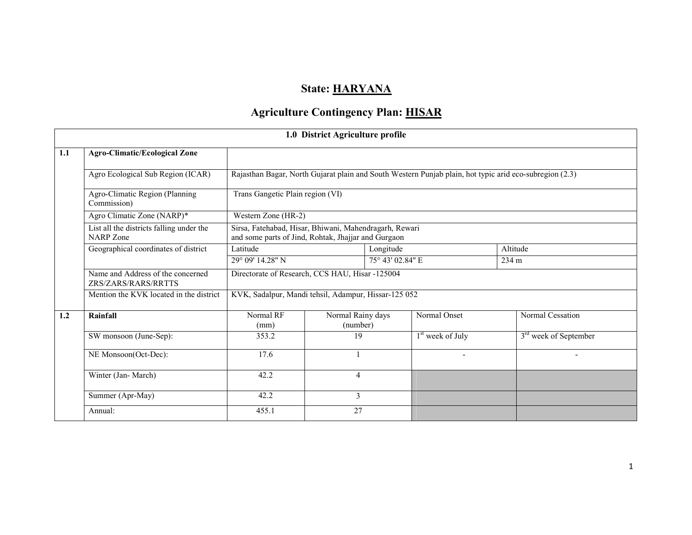## State: HARYANA

# Agriculture Contingency Plan: **HISAR**

|     |                                                          |                                                                                                                            | 1.0 District Agriculture profile |                  |                                                                                                         |                         |  |  |  |
|-----|----------------------------------------------------------|----------------------------------------------------------------------------------------------------------------------------|----------------------------------|------------------|---------------------------------------------------------------------------------------------------------|-------------------------|--|--|--|
| 1.1 | <b>Agro-Climatic/Ecological Zone</b>                     |                                                                                                                            |                                  |                  |                                                                                                         |                         |  |  |  |
|     | Agro Ecological Sub Region (ICAR)                        |                                                                                                                            |                                  |                  | Rajasthan Bagar, North Gujarat plain and South Western Punjab plain, hot typic arid eco-subregion (2.3) |                         |  |  |  |
|     | Agro-Climatic Region (Planning<br>Commission)            | Trans Gangetic Plain region (VI)                                                                                           |                                  |                  |                                                                                                         |                         |  |  |  |
|     | Agro Climatic Zone (NARP)*                               | Western Zone (HR-2)                                                                                                        |                                  |                  |                                                                                                         |                         |  |  |  |
|     | List all the districts falling under the<br>NARP Zone    | Sirsa, Fatehabad, Hisar, Bhiwani, Mahendragarh, Rewari<br>and some parts of Jind, Rohtak, Jhajjar and Gurgaon<br>Longitude |                                  |                  |                                                                                                         |                         |  |  |  |
|     | Geographical coordinates of district                     | Latitude                                                                                                                   |                                  | Altitude         |                                                                                                         |                         |  |  |  |
|     |                                                          | 29° 09' 14.28" N                                                                                                           |                                  | 75° 43' 02.84" E |                                                                                                         | 234 m                   |  |  |  |
|     | Name and Address of the concerned<br>ZRS/ZARS/RARS/RRTTS | Directorate of Research, CCS HAU, Hisar -125004                                                                            |                                  |                  |                                                                                                         |                         |  |  |  |
|     | Mention the KVK located in the district                  | KVK, Sadalpur, Mandi tehsil, Adampur, Hissar-125 052                                                                       |                                  |                  |                                                                                                         |                         |  |  |  |
| 1.2 | Rainfall                                                 | Normal RF<br>(mm)                                                                                                          | Normal Rainy days<br>(number)    |                  | Normal Onset                                                                                            | Normal Cessation        |  |  |  |
|     | SW monsoon (June-Sep):                                   | 353.2                                                                                                                      | 19                               |                  | $1st$ week of July                                                                                      | $3rd$ week of September |  |  |  |
|     | NE Monsoon(Oct-Dec):                                     | 17.6                                                                                                                       |                                  |                  | $\overline{\phantom{a}}$                                                                                | $\blacksquare$          |  |  |  |
|     | Winter (Jan-March)                                       | 42.2                                                                                                                       | 4                                |                  |                                                                                                         |                         |  |  |  |
|     | Summer (Apr-May)                                         | 42.2                                                                                                                       | 3                                |                  |                                                                                                         |                         |  |  |  |
|     | Annual:                                                  | 455.1                                                                                                                      | 27                               |                  |                                                                                                         |                         |  |  |  |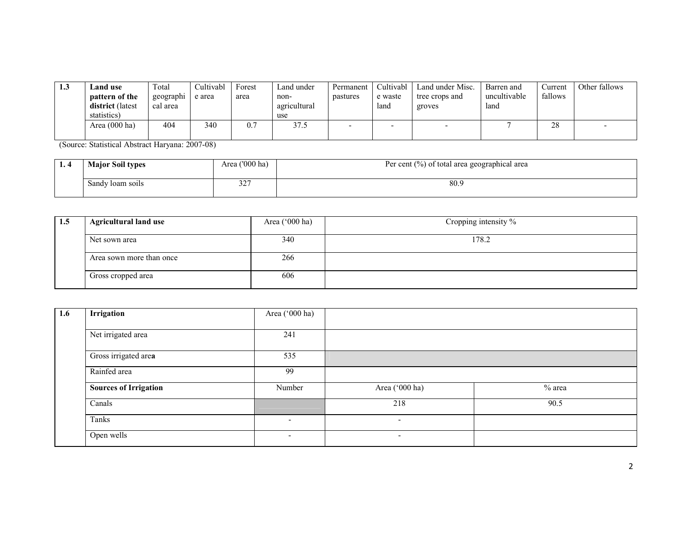| 1.3 | Land use         | Total     | `ultivabl | Forest | Land under   | Permanent | Cultivabl | Land under Misc.         | Barren and   | Current | Other fallows |
|-----|------------------|-----------|-----------|--------|--------------|-----------|-----------|--------------------------|--------------|---------|---------------|
|     | pattern of the   | geographi | e area    | area   | non-         | pastures  | e waste   | tree crops and           | uncultivable | fallows |               |
|     | district (latest | cal area  |           |        | agricultural |           | land      | groves                   | land         |         |               |
|     | statistics)      |           |           |        | use          |           |           |                          |              |         |               |
|     | Area (000 ha)    | 404       | 340       | 0.7    | 37.          |           | -         | $\overline{\phantom{a}}$ |              | 28      |               |
|     |                  |           |           |        |              |           |           |                          |              |         |               |

(Source: Statistical Abstract Haryana: 2007-08)

| . . | <b>Major Soil types</b> | Area ('000 ha) | Per cent (%) of total area geographical area |
|-----|-------------------------|----------------|----------------------------------------------|
|     | Sandy loam soils        | 22<br>52       | 80.9                                         |

| 1.5 | <b>Agricultural land use</b> | Area $(^{\circ}000$ ha) | Cropping intensity % |
|-----|------------------------------|-------------------------|----------------------|
|     | Net sown area                | 340                     | 178.2                |
|     | Area sown more than once     | 266                     |                      |
|     | Gross cropped area           | 606                     |                      |

| 1.6 | Irrigation                   | Area ('000 ha)           |                          |          |
|-----|------------------------------|--------------------------|--------------------------|----------|
|     | Net irrigated area           | 241                      |                          |          |
|     | Gross irrigated area         | 535                      |                          |          |
|     | Rainfed area                 | 99                       |                          |          |
|     | <b>Sources of Irrigation</b> | Number                   | Area ('000 ha)           | $%$ area |
|     | Canals                       |                          | 218                      | 90.5     |
|     | Tanks                        | ۰.                       | $\overline{\phantom{a}}$ |          |
|     | Open wells                   | $\overline{\phantom{a}}$ | $\overline{\phantom{0}}$ |          |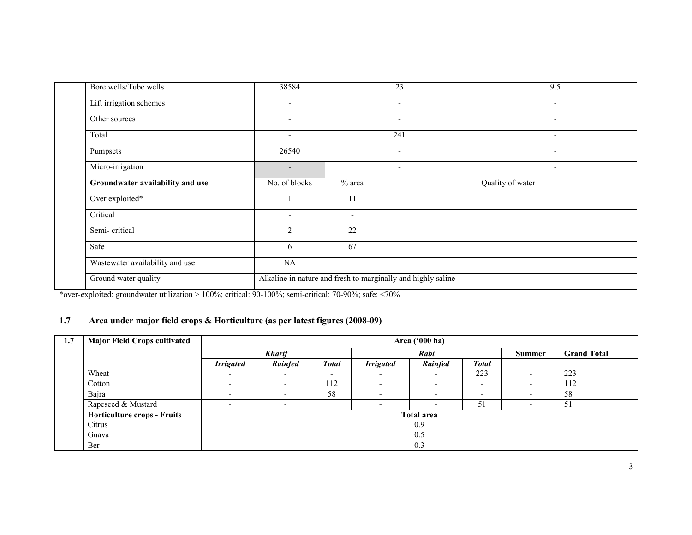| Bore wells/Tube wells            | 38584                    |                                                              | 23                       | 9.5                      |  |  |  |  |
|----------------------------------|--------------------------|--------------------------------------------------------------|--------------------------|--------------------------|--|--|--|--|
| Lift irrigation schemes          | $\overline{\phantom{0}}$ |                                                              | $\overline{\phantom{a}}$ | $\overline{\phantom{a}}$ |  |  |  |  |
| Other sources                    |                          |                                                              | $\overline{\phantom{a}}$ | $\overline{\phantom{a}}$ |  |  |  |  |
| Total                            | $\overline{\phantom{a}}$ |                                                              | 241                      | $\overline{\phantom{a}}$ |  |  |  |  |
| Pumpsets                         | 26540                    |                                                              | $\overline{\phantom{a}}$ | $\overline{\phantom{a}}$ |  |  |  |  |
| Micro-irrigation                 | $\overline{\phantom{a}}$ |                                                              | $\overline{\phantom{a}}$ | $\overline{\phantom{0}}$ |  |  |  |  |
| Groundwater availability and use | No. of blocks            | $%$ area                                                     | Quality of water         |                          |  |  |  |  |
| Over exploited*                  |                          | 11                                                           |                          |                          |  |  |  |  |
| Critical                         | $\overline{\phantom{0}}$ | $\overline{\phantom{a}}$                                     |                          |                          |  |  |  |  |
| Semi-critical                    | 2                        | 22                                                           |                          |                          |  |  |  |  |
| Safe                             | 6                        | 67                                                           |                          |                          |  |  |  |  |
| Wastewater availability and use  | NA                       |                                                              |                          |                          |  |  |  |  |
| Ground water quality             |                          | Alkaline in nature and fresh to marginally and highly saline |                          |                          |  |  |  |  |

\*over-exploited: groundwater utilization > 100%; critical: 90-100%; semi-critical: 70-90%; safe: <70%

## 1.7 Area under major field crops & Horticulture (as per latest figures (2008-09)

| 1.7 | <b>Major Field Crops cultivated</b> | Area ('000 ha)           |                                                                        |                          |                          |                   |                          |  |                    |  |
|-----|-------------------------------------|--------------------------|------------------------------------------------------------------------|--------------------------|--------------------------|-------------------|--------------------------|--|--------------------|--|
|     |                                     |                          | <b>Kharif</b>                                                          |                          |                          | Rabi              |                          |  | <b>Grand Total</b> |  |
|     |                                     | <b>Irrigated</b>         | <b>Total</b><br><b>Total</b><br><b>Irrigated</b><br>Rainfed<br>Rainfed |                          |                          |                   |                          |  |                    |  |
|     | Wheat                               | $\overline{\phantom{0}}$ | $\overline{\phantom{0}}$                                               | $\overline{\phantom{0}}$ | $\overline{\phantom{0}}$ |                   | 223                      |  | 223                |  |
|     | Cotton                              | $\overline{\phantom{a}}$ | $\overline{\phantom{0}}$                                               | 112                      | -                        | -                 | $\overline{\phantom{a}}$ |  | 112                |  |
|     | Bajra                               | $\overline{\phantom{0}}$ |                                                                        | 58                       |                          |                   |                          |  | 58                 |  |
|     | Rapeseed & Mustard                  | $\overline{\phantom{a}}$ | $\overline{\phantom{a}}$                                               |                          | $\overline{\phantom{a}}$ |                   | 51                       |  | -51                |  |
|     | <b>Horticulture crops - Fruits</b>  |                          |                                                                        |                          |                          | <b>Total area</b> |                          |  |                    |  |
|     | Citrus                              |                          | 0.9                                                                    |                          |                          |                   |                          |  |                    |  |
|     | Guava                               |                          |                                                                        |                          |                          | 0.5               |                          |  |                    |  |
|     | Ber                                 |                          |                                                                        |                          |                          | 0.3               |                          |  |                    |  |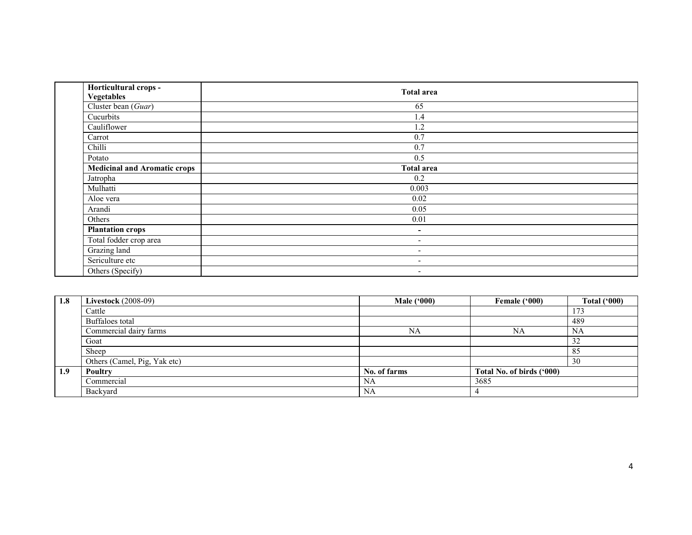| Horticultural crops -<br><b>Vegetables</b> | <b>Total area</b>        |
|--------------------------------------------|--------------------------|
| Cluster bean (Guar)                        | 65                       |
| Cucurbits                                  | 1.4                      |
| Cauliflower                                | 1.2                      |
| Carrot                                     | 0.7                      |
| Chilli                                     | 0.7                      |
| Potato                                     | 0.5                      |
| <b>Medicinal and Aromatic crops</b>        | <b>Total area</b>        |
| Jatropha                                   | 0.2                      |
| Mulhatti                                   | 0.003                    |
| Aloe vera                                  | 0.02                     |
| Arandi                                     | 0.05                     |
| Others                                     | 0.01                     |
| <b>Plantation crops</b>                    | $\overline{\phantom{a}}$ |
| Total fodder crop area                     | $\overline{\phantom{a}}$ |
| Grazing land                               | $\overline{\phantom{a}}$ |
| Sericulture etc                            | $\overline{\phantom{a}}$ |
| Others (Specify)                           | $\overline{\phantom{a}}$ |

| 1.8 | <b>Livestock</b> (2008-09)   | <b>Male ('000)</b> | Female ('000)             | Total $(900)$         |
|-----|------------------------------|--------------------|---------------------------|-----------------------|
|     | Cattle                       |                    |                           | 173                   |
|     | Buffaloes total              |                    |                           | 489                   |
|     | Commercial dairy farms       | NA                 | NA                        | NA                    |
|     | Goat                         |                    |                           | $\sim$<br>ے ر         |
|     | Sheep                        |                    |                           | O <sub>L</sub><br>OJ. |
|     | Others (Camel, Pig, Yak etc) |                    |                           | 30                    |
| 1.9 | Poultry                      | No. of farms       | Total No. of birds ('000) |                       |
|     | Commercial                   | NA                 | 3685                      |                       |
|     | Backyard                     | NA                 |                           |                       |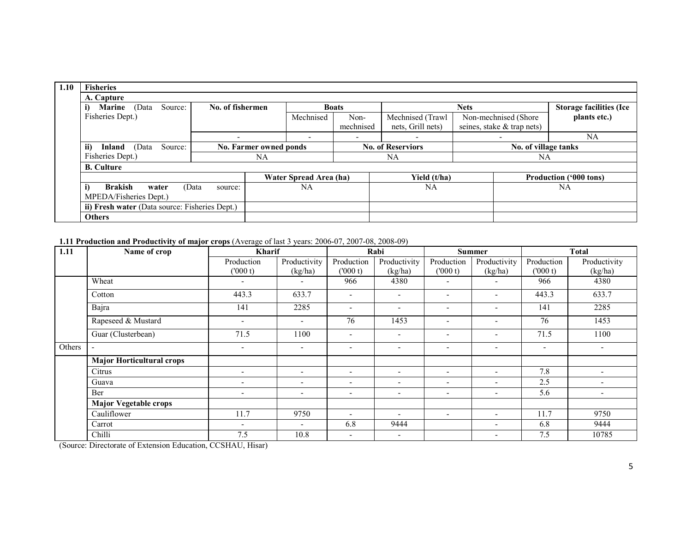| 1.10 | <b>Fisheries</b>                               |                  |                        |                          |              |                          |                            |                               |                                |
|------|------------------------------------------------|------------------|------------------------|--------------------------|--------------|--------------------------|----------------------------|-------------------------------|--------------------------------|
|      | A. Capture                                     |                  |                        |                          |              |                          |                            |                               |                                |
|      | Source:<br>i)<br><b>Marine</b><br>(Data        | No. of fishermen |                        |                          | <b>Boats</b> |                          | <b>Nets</b>                |                               | <b>Storage facilities (Ice</b> |
|      | Fisheries Dept.)                               |                  |                        | Mechnised                | Non-         | Mechnised (Trawl         | Non-mechnised (Shore)      |                               | plants etc.)                   |
|      |                                                |                  |                        |                          | mechnised    | nets, Grill nets)        | seines, stake & trap nets) |                               |                                |
|      |                                                |                  |                        | $\overline{\phantom{0}}$ | -            | $\overline{\phantom{a}}$ | $\overline{\phantom{a}}$   |                               | NA                             |
|      | ii)<br>Source:<br>Inland<br>(Data              |                  | No. Farmer owned ponds | <b>No. of Reserviors</b> |              |                          | No. of village tanks       |                               |                                |
|      | Fisheries Dept.)                               |                  | NA                     |                          | NA           |                          | NA                         |                               |                                |
|      | <b>B.</b> Culture                              |                  |                        |                          |              |                          |                            |                               |                                |
|      |                                                |                  |                        | Water Spread Area (ha)   | Yield (t/ha) |                          |                            | <b>Production ('000 tons)</b> |                                |
|      | i)<br><b>Brakish</b><br>water                  | (Data<br>source: |                        | NA                       |              | NA                       |                            |                               | NA                             |
|      | MPEDA/Fisheries Dept.)                         |                  |                        |                          |              |                          |                            |                               |                                |
|      | ii) Fresh water (Data source: Fisheries Dept.) |                  |                        |                          |              |                          |                            |                               |                                |
|      | <b>Others</b>                                  |                  |                        |                          |              |                          |                            |                               |                                |

#### 1.11 Production and Productivity of major crops (Average of last 3 years: 2006-07, 2007-08, 2008-09)

| 1.11   | <b>Kharif</b><br>Name of crop    |                          |                          | Rabi                     |                          | <b>Summer</b>            |                          | <b>Total</b>             |                          |
|--------|----------------------------------|--------------------------|--------------------------|--------------------------|--------------------------|--------------------------|--------------------------|--------------------------|--------------------------|
|        |                                  | Production               | Productivity             | Production               | Productivity             | Production               | Productivity             | Production               | Productivity             |
|        |                                  | (000 t)                  | (kg/ha)                  | (000 t)                  | (kg/ha)                  | (000 t)                  | (kg/ha)                  | (000 t)                  | (kg/ha)                  |
|        | Wheat                            |                          |                          | 966                      | 4380                     | $\overline{\phantom{0}}$ |                          | 966                      | 4380                     |
|        | Cotton                           | 443.3                    | 633.7                    | $\overline{\phantom{0}}$ | $\overline{\phantom{0}}$ | $\overline{\phantom{0}}$ | $\overline{\phantom{a}}$ | 443.3                    | 633.7                    |
|        | Bajra                            | 141                      | 2285                     | $\overline{\phantom{0}}$ | $\overline{\phantom{0}}$ | $\overline{\phantom{0}}$ | $\overline{\phantom{a}}$ | 141                      | 2285                     |
|        | Rapeseed & Mustard               | $\overline{\phantom{a}}$ |                          | 76                       | 1453                     | $\overline{\phantom{a}}$ | $\overline{\phantom{a}}$ | 76                       | 1453                     |
|        | Guar (Clusterbean)               | 71.5                     | 1100                     | $\overline{\phantom{0}}$ | $\overline{\phantom{0}}$ | $\overline{\phantom{a}}$ | $\overline{\phantom{a}}$ | 71.5                     | 1100                     |
| Others | $\blacksquare$                   | $\overline{\phantom{a}}$ | $\overline{\phantom{a}}$ | $\overline{\phantom{a}}$ | $\overline{\phantom{0}}$ | $\overline{\phantom{a}}$ | $\overline{\phantom{a}}$ | $\overline{\phantom{a}}$ | $\overline{\phantom{a}}$ |
|        | <b>Major Horticultural crops</b> |                          |                          |                          |                          |                          |                          |                          |                          |
|        | Citrus                           | $\overline{\phantom{a}}$ |                          | $\overline{\phantom{a}}$ | $\overline{\phantom{0}}$ | $\overline{\phantom{a}}$ | $\overline{\phantom{a}}$ | 7.8                      | $\overline{\phantom{a}}$ |
|        | Guava                            | $\overline{\phantom{a}}$ |                          | ۰                        | $\overline{\phantom{a}}$ | $\overline{\phantom{a}}$ |                          | 2.5                      | $\overline{\phantom{a}}$ |
|        | Ber                              | $\overline{\phantom{a}}$ | $\overline{\phantom{a}}$ | $\overline{\phantom{a}}$ | $\overline{\phantom{0}}$ | $\overline{\phantom{a}}$ | $\overline{\phantom{a}}$ | 5.6                      | $\overline{\phantom{a}}$ |
|        | <b>Major Vegetable crops</b>     |                          |                          |                          |                          |                          |                          |                          |                          |
|        | Cauliflower                      | 11.7                     | 9750                     |                          | $\overline{\phantom{a}}$ | $\overline{\phantom{a}}$ | $\overline{\phantom{a}}$ | 11.7                     | 9750                     |
|        | Carrot                           | $\overline{\phantom{a}}$ |                          | 6.8                      | 9444                     |                          | $\overline{\phantom{a}}$ | 6.8                      | 9444                     |
|        | Chilli                           | 7.5                      | 10.8                     | $\overline{\phantom{a}}$ | $\overline{\phantom{a}}$ |                          |                          | 7.5                      | 10785                    |

(Source: Directorate of Extension Education, CCSHAU, Hisar)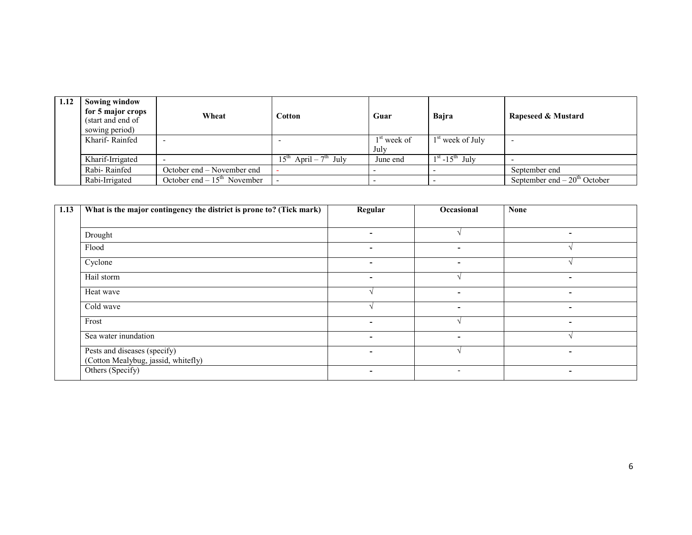| 1.12 | <b>Sowing window</b><br>for 5 major crops<br>(start and end of<br>sowing period) | Wheat                         | Cotton                                           | Guar                  | Bajra              | Rapeseed & Mustard            |
|------|----------------------------------------------------------------------------------|-------------------------------|--------------------------------------------------|-----------------------|--------------------|-------------------------------|
|      | Kharif-Rainfed                                                                   | $\overline{\phantom{a}}$      |                                                  | $1st$ week of<br>July | $1st$ week of July |                               |
|      | Kharif-Irrigated                                                                 | $\overline{\phantom{0}}$      | April – $7^{\text{th}}$ July<br>$15^{\text{th}}$ | June end              | $1st - 15th$ July  |                               |
|      | Rabi-Rainfed                                                                     | October end – November end    |                                                  |                       |                    | September end                 |
|      | Rabi-Irrigated                                                                   | October end – $15th$ November |                                                  |                       |                    | September end $-20th$ October |

| 1.13 | What is the major contingency the district is prone to? (Tick mark) | Regular                  | Occasional               | <b>None</b>              |
|------|---------------------------------------------------------------------|--------------------------|--------------------------|--------------------------|
|      |                                                                     |                          |                          |                          |
|      | Drought                                                             | $\overline{\phantom{0}}$ |                          | $\overline{\phantom{a}}$ |
|      | Flood                                                               | $\blacksquare$           | ۰.                       |                          |
|      | Cyclone                                                             | $\blacksquare$           | ٠                        |                          |
|      | Hail storm                                                          | $\blacksquare$           |                          | $\blacksquare$           |
|      | Heat wave                                                           |                          | -                        | $\overline{\phantom{0}}$ |
|      | Cold wave                                                           |                          | ۰                        | ٠                        |
|      | Frost                                                               | $\overline{\phantom{0}}$ |                          | $\overline{\phantom{0}}$ |
|      | Sea water inundation                                                | $\overline{\phantom{0}}$ | -                        |                          |
|      | Pests and diseases (specify)<br>(Cotton Mealybug, jassid, whitefly) |                          |                          | $\overline{\phantom{0}}$ |
|      | Others (Specify)                                                    | $\overline{\phantom{a}}$ | $\overline{\phantom{a}}$ | $\overline{\phantom{a}}$ |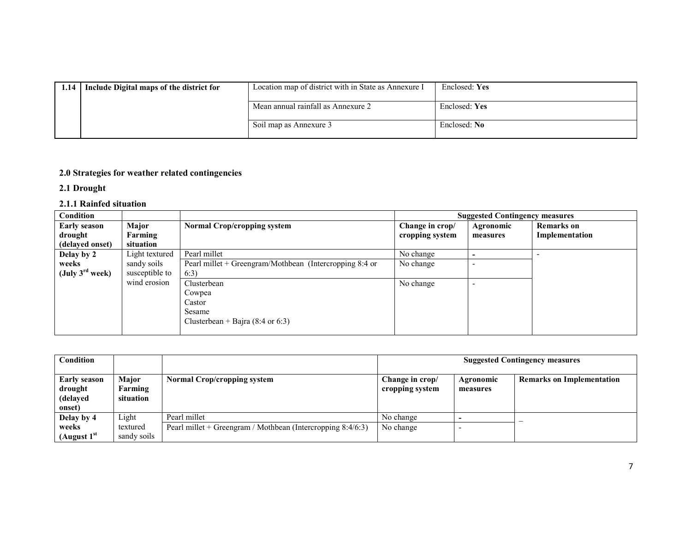| 1.14 | Include Digital maps of the district for | Location map of district with in State as Annexure I | Enclosed: Yes |
|------|------------------------------------------|------------------------------------------------------|---------------|
|      |                                          | Mean annual rainfall as Annexure 2                   | Enclosed: Yes |
|      |                                          | Soil map as Annexure 3                               | Enclosed: No  |

#### 2.0 Strategies for weather related contingencies

2.1 Drought

#### 2.1.1 Rainfed situation

| <b>Condition</b>            |                |                                                         |                 | <b>Suggested Contingency measures</b> |                   |
|-----------------------------|----------------|---------------------------------------------------------|-----------------|---------------------------------------|-------------------|
| <b>Early season</b>         | Major          | <b>Normal Crop/cropping system</b>                      | Change in crop/ | Agronomic                             | <b>Remarks</b> on |
| drought                     | Farming        |                                                         | cropping system | measures                              | Implementation    |
| (delayed onset)             | situation      |                                                         |                 |                                       |                   |
| Delay by 2                  | Light textured | Pearl millet                                            | No change       |                                       |                   |
| weeks                       | sandy soils    | Pearl millet + Greengram/Mothbean (Intercropping 8:4 or | No change       |                                       |                   |
| (July $3^{\text{rd}}$ week) | susceptible to | 6:3)                                                    |                 |                                       |                   |
|                             | wind erosion   | Clusterbean                                             | No change       |                                       |                   |
|                             |                | Cowpea                                                  |                 |                                       |                   |
|                             |                | Castor                                                  |                 |                                       |                   |
|                             |                | Sesame                                                  |                 |                                       |                   |
|                             |                | Clusterbean + Bajra (8:4 or 6:3)                        |                 |                                       |                   |
|                             |                |                                                         |                 |                                       |                   |

| Condition                                     |                                      |                                                                                | <b>Suggested Contingency measures</b> |                       |                                  |
|-----------------------------------------------|--------------------------------------|--------------------------------------------------------------------------------|---------------------------------------|-----------------------|----------------------------------|
| Early season<br>drought<br>(delayed<br>onset) | <b>Major</b><br>Farming<br>situation | Normal Crop/cropping system                                                    | Change in crop/<br>cropping system    | Agronomic<br>measures | <b>Remarks on Implementation</b> |
| Delay by 4<br>weeks                           | Light<br>textured                    | Pearl millet<br>Pearl millet + Greengram / Mothbean (Intercropping $8:4/6:3$ ) | No change<br>No change                |                       |                                  |
| (August 1 <sup>st</sup>                       | sandy soils                          |                                                                                |                                       |                       |                                  |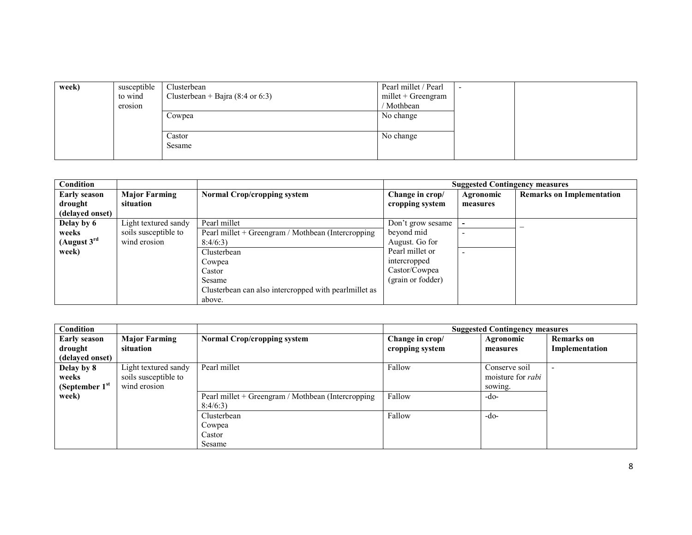| week) | susceptible | Clusterbean                                 | Pearl millet / Pearl |  |
|-------|-------------|---------------------------------------------|----------------------|--|
|       | to wind     | Clusterbean + Bajra $(8:4 \text{ or } 6:3)$ | millet + Greengram   |  |
|       | erosion     |                                             | / Mothbean           |  |
|       |             | Cowpea                                      | No change            |  |
|       |             |                                             |                      |  |
|       |             | Castor                                      | No change            |  |
|       |             | Sesame                                      |                      |  |
|       |             |                                             |                      |  |

| Condition           |                      |                                                       |                   | <b>Suggested Contingency measures</b> |                                  |
|---------------------|----------------------|-------------------------------------------------------|-------------------|---------------------------------------|----------------------------------|
| <b>Early season</b> | <b>Major Farming</b> | <b>Normal Crop/cropping system</b>                    | Change in crop/   | Agronomic                             | <b>Remarks on Implementation</b> |
| drought             | situation            |                                                       | cropping system   | measures                              |                                  |
| (delayed onset)     |                      |                                                       |                   |                                       |                                  |
| Delay by 6          | Light textured sandy | Pearl millet                                          | Don't grow sesame |                                       | -                                |
| weeks               | soils susceptible to | Pearl millet + Greengram / Mothbean (Intercropping    | beyond mid        |                                       |                                  |
| (August $3rd$       | wind erosion         | 8:4/6:3                                               | August. Go for    |                                       |                                  |
| week)               |                      | Clusterbean                                           | Pearl millet or   | $\overline{\phantom{a}}$              |                                  |
|                     |                      | Cowpea                                                | intercropped      |                                       |                                  |
|                     |                      | Castor                                                | Castor/Cowpea     |                                       |                                  |
|                     |                      | Sesame                                                | (grain or fodder) |                                       |                                  |
|                     |                      | Clusterbean can also intercropped with pearlmillet as |                   |                                       |                                  |
|                     |                      | above.                                                |                   |                                       |                                  |

| Condition           |                      |                                                    |                 | <b>Suggested Contingency measures</b> |                   |
|---------------------|----------------------|----------------------------------------------------|-----------------|---------------------------------------|-------------------|
| <b>Early season</b> | <b>Major Farming</b> | <b>Normal Crop/cropping system</b>                 | Change in crop/ | Agronomic                             | <b>Remarks</b> on |
| drought             | situation            |                                                    | cropping system | measures                              | Implementation    |
| (delayed onset)     |                      |                                                    |                 |                                       |                   |
| Delay by 8          | Light textured sandy | Pearl millet                                       | Fallow          | Conserve soil                         | -                 |
| weeks               | soils susceptible to |                                                    |                 | moisture for <i>rabi</i>              |                   |
| (September $1st$    | wind erosion         |                                                    |                 | sowing.                               |                   |
| week)               |                      | Pearl millet + Greengram / Mothbean (Intercropping | Fallow          | -do-                                  |                   |
|                     |                      | 8:4/6:3                                            |                 |                                       |                   |
|                     |                      | Clusterbean                                        | Fallow          | $-do-$                                |                   |
|                     |                      | Cowpea                                             |                 |                                       |                   |
|                     |                      | Castor                                             |                 |                                       |                   |
|                     |                      | Sesame                                             |                 |                                       |                   |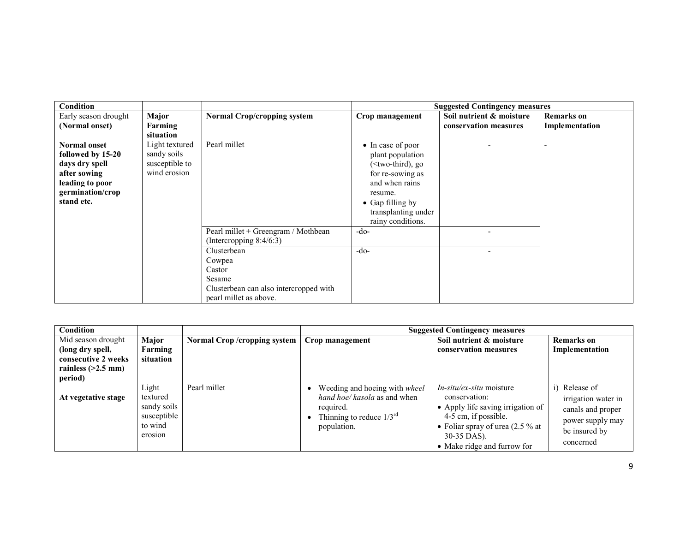| Condition                                                                                                                       |                                                                 |                                                                                                                                                                                    |                                                                                                                                                                                 | <b>Suggested Contingency measures</b>             |                                     |
|---------------------------------------------------------------------------------------------------------------------------------|-----------------------------------------------------------------|------------------------------------------------------------------------------------------------------------------------------------------------------------------------------------|---------------------------------------------------------------------------------------------------------------------------------------------------------------------------------|---------------------------------------------------|-------------------------------------|
| Early season drought<br>(Normal onset)                                                                                          | Major<br>Farming<br>situation                                   | Normal Crop/cropping system                                                                                                                                                        | Crop management                                                                                                                                                                 | Soil nutrient & moisture<br>conservation measures | <b>Remarks</b> on<br>Implementation |
| <b>Normal onset</b><br>followed by 15-20<br>days dry spell<br>after sowing<br>leading to poor<br>germination/crop<br>stand etc. | Light textured<br>sandy soils<br>susceptible to<br>wind erosion | Pearl millet                                                                                                                                                                       | • In case of poor<br>plant population<br>$(\le$ two-third), go<br>for re-sowing as<br>and when rains<br>resume.<br>• Gap filling by<br>transplanting under<br>rainy conditions. |                                                   |                                     |
|                                                                                                                                 |                                                                 | Pearl millet + Greengram / Mothbean<br>(Intercropping $8:4/6:3$ )<br>Clusterbean<br>Cowpea<br>Castor<br>Sesame<br>Clusterbean can also intercropped with<br>pearl millet as above. | $-do-$<br>$-do-$                                                                                                                                                                |                                                   |                                     |

| Condition                                                                                        |                                                                       |                               |                                                                                                                            | <b>Suggested Contingency measures</b>                                                                                                                                                      |                                                                                                             |
|--------------------------------------------------------------------------------------------------|-----------------------------------------------------------------------|-------------------------------|----------------------------------------------------------------------------------------------------------------------------|--------------------------------------------------------------------------------------------------------------------------------------------------------------------------------------------|-------------------------------------------------------------------------------------------------------------|
| Mid season drought<br>(long dry spell,<br>consecutive 2 weeks<br>rainless $(>2.5$ mm)<br>period) | Major<br>Farming<br>situation                                         | Normal Crop / cropping system | Crop management                                                                                                            | Soil nutrient & moisture<br>conservation measures                                                                                                                                          | <b>Remarks</b> on<br>Implementation                                                                         |
| At vegetative stage                                                                              | Light<br>textured<br>sandy soils<br>susceptible<br>to wind<br>erosion | Pearl millet                  | Weeding and hoeing with wheel<br>hand hoe/ kasola as and when<br>required.<br>Thinning to reduce $1/3^{rd}$<br>population. | In-situ/ex-situ moisture<br>conservation:<br>• Apply life saving irrigation of<br>4-5 cm, if possible.<br>• Foliar spray of urea $(2.5\%$ at<br>30-35 DAS).<br>• Make ridge and furrow for | i) Release of<br>irrigation water in<br>canals and proper<br>power supply may<br>be insured by<br>concerned |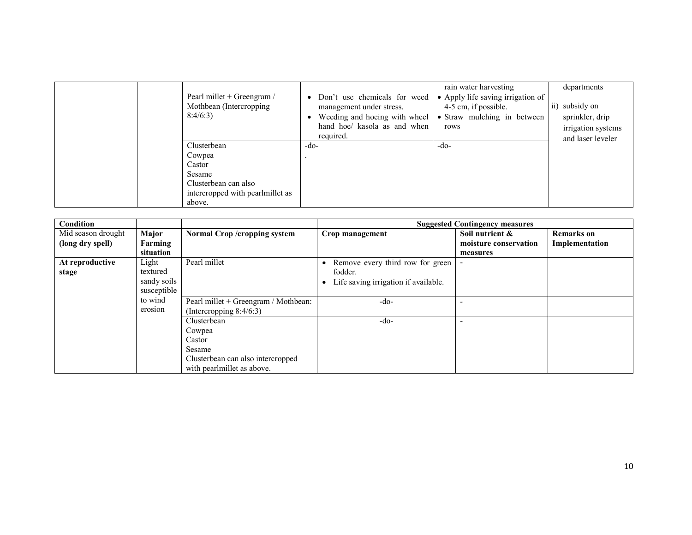| Pearl millet + Greengram /<br>Mothbean (Intercropping)<br>8:4/6:3                                               | Don't use chemicals for weed<br>$\bullet$<br>management under stress.<br>Weeding and hoeing with wheel<br>hand hoe/ kasola as and when<br>required. | rain water harvesting<br>• Apply life saving irrigation of<br>4-5 cm, if possible.<br>• Straw mulching in between<br>rows | departments<br>ii) subsidy on<br>sprinkler, drip<br>irrigation systems<br>and laser leveler |
|-----------------------------------------------------------------------------------------------------------------|-----------------------------------------------------------------------------------------------------------------------------------------------------|---------------------------------------------------------------------------------------------------------------------------|---------------------------------------------------------------------------------------------|
| Clusterbean<br>Cowpea<br>Castor<br>Sesame<br>Clusterbean can also<br>intercropped with pearlmillet as<br>above. | -do-                                                                                                                                                | -do-                                                                                                                      |                                                                                             |

| Condition          |             |                                      |                                      | <b>Suggested Contingency measures</b> |                   |
|--------------------|-------------|--------------------------------------|--------------------------------------|---------------------------------------|-------------------|
| Mid season drought | Major       | Normal Crop /cropping system         | Crop management                      | Soil nutrient &                       | <b>Remarks</b> on |
| (long dry spell)   | Farming     |                                      |                                      | moisture conservation                 | Implementation    |
|                    | situation   |                                      |                                      | measures                              |                   |
| At reproductive    | Light       | Pearl millet                         | Remove every third row for green     |                                       |                   |
| stage              | textured    |                                      | fodder.                              |                                       |                   |
|                    | sandy soils |                                      | Life saving irrigation if available. |                                       |                   |
|                    | susceptible |                                      |                                      |                                       |                   |
|                    | to wind     | Pearl millet + Greengram / Mothbean: | -do-                                 |                                       |                   |
|                    | erosion     | (Intercropping $8:4/6:3$ )           |                                      |                                       |                   |
|                    |             | Clusterbean                          | -do-                                 |                                       |                   |
|                    |             | Cowpea                               |                                      |                                       |                   |
|                    |             | Castor                               |                                      |                                       |                   |
|                    |             | Sesame                               |                                      |                                       |                   |
|                    |             | Clusterbean can also intercropped    |                                      |                                       |                   |
|                    |             | with pearlmillet as above.           |                                      |                                       |                   |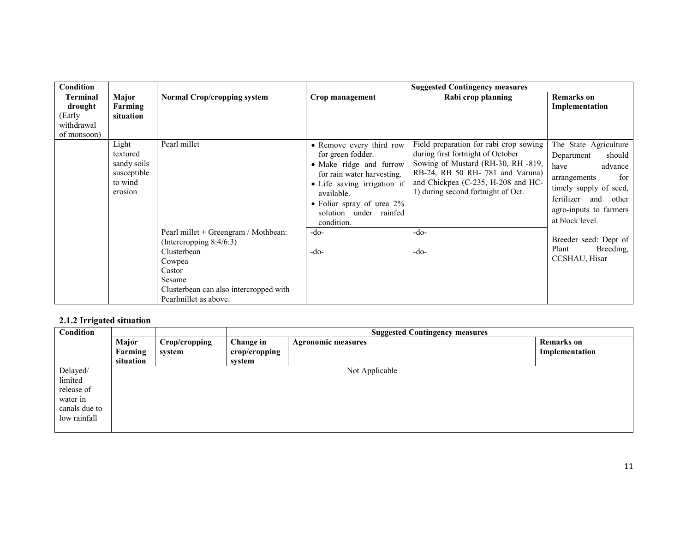| <b>Condition</b>                                                  |                                                                       |                                                                                                              |                                                                                                                                                                                                                             | <b>Suggested Contingency measures</b>                                                                                                                                                                                            |                                                                                                                                                                                           |
|-------------------------------------------------------------------|-----------------------------------------------------------------------|--------------------------------------------------------------------------------------------------------------|-----------------------------------------------------------------------------------------------------------------------------------------------------------------------------------------------------------------------------|----------------------------------------------------------------------------------------------------------------------------------------------------------------------------------------------------------------------------------|-------------------------------------------------------------------------------------------------------------------------------------------------------------------------------------------|
| <b>Terminal</b><br>drought<br>(Early<br>withdrawal<br>of monsoon) | Major<br>Farming<br>situation                                         | <b>Normal Crop/cropping system</b>                                                                           | Crop management                                                                                                                                                                                                             | Rabi crop planning                                                                                                                                                                                                               | <b>Remarks</b> on<br>Implementation                                                                                                                                                       |
|                                                                   | Light<br>textured<br>sandy soils<br>susceptible<br>to wind<br>erosion | Pearl millet                                                                                                 | • Remove every third row<br>for green fodder.<br>• Make ridge and furrow<br>for rain water harvesting.<br>• Life saving irrigation if<br>available.<br>• Foliar spray of urea $2\%$<br>solution under rainfed<br>condition. | Field preparation for rabi crop sowing<br>during first fortnight of October<br>Sowing of Mustard (RH-30, RH -819,<br>RB-24, RB 50 RH-781 and Varuna)<br>and Chickpea (C-235, H-208 and HC-<br>1) during second fortnight of Oct. | The State Agriculture<br>Department<br>should<br>have<br>advance<br>for<br>arrangements<br>timely supply of seed,<br>fertilizer and<br>other<br>agro-inputs to farmers<br>at block level. |
|                                                                   |                                                                       | Pearl millet + Greengram / Mothbean:<br>(Intercropping $8:4/6:3$ )                                           | $-do-$                                                                                                                                                                                                                      | $-do-$                                                                                                                                                                                                                           | Breeder seed: Dept of                                                                                                                                                                     |
|                                                                   |                                                                       | Clusterbean<br>Cowpea<br>Castor<br>Sesame<br>Clusterbean can also intercropped with<br>Pearlmillet as above. | $-do-$                                                                                                                                                                                                                      | $-do-$                                                                                                                                                                                                                           | Breeding,<br>Plant<br>CCSHAU, Hisar                                                                                                                                                       |

### 2.1.2 Irrigated situation

| Condition                                                                      |                  |                         | <b>Suggested Contingency measures</b> |                           |                                     |
|--------------------------------------------------------------------------------|------------------|-------------------------|---------------------------------------|---------------------------|-------------------------------------|
|                                                                                | Major<br>Farming | Crop/cropping<br>system | Change in<br>crop/cropping            | <b>Agronomic measures</b> | <b>Remarks</b> on<br>Implementation |
|                                                                                | situation        |                         | system                                |                           |                                     |
| Delayed/<br>limited<br>release of<br>water in<br>canals due to<br>low rainfall |                  |                         |                                       | Not Applicable            |                                     |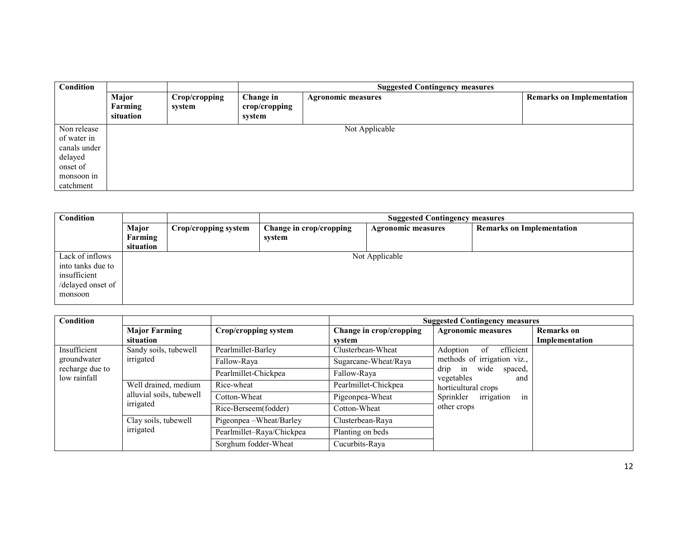| Condition                                                                                    |                               |                         | <b>Suggested Contingency measures</b> |                           |                                  |
|----------------------------------------------------------------------------------------------|-------------------------------|-------------------------|---------------------------------------|---------------------------|----------------------------------|
|                                                                                              | Major<br>Farming<br>situation | Crop/cropping<br>system | Change in<br>crop/cropping<br>system  | <b>Agronomic measures</b> | <b>Remarks on Implementation</b> |
| Non release<br>of water in<br>canals under<br>delayed<br>onset of<br>monsoon in<br>catchment |                               |                         |                                       | Not Applicable            |                                  |

| Condition         |              |                      | <b>Suggested Contingency measures</b> |                           |                                  |  |  |
|-------------------|--------------|----------------------|---------------------------------------|---------------------------|----------------------------------|--|--|
|                   | <b>Major</b> | Crop/cropping system | Change in crop/cropping               | <b>Agronomic measures</b> | <b>Remarks on Implementation</b> |  |  |
|                   | Farming      |                      | system                                |                           |                                  |  |  |
|                   | situation    |                      |                                       |                           |                                  |  |  |
| Lack of inflows   |              |                      |                                       | Not Applicable            |                                  |  |  |
| into tanks due to |              |                      |                                       |                           |                                  |  |  |
| insufficient      |              |                      |                                       |                           |                                  |  |  |
| /delayed onset of |              |                      |                                       |                           |                                  |  |  |
| monsoon           |              |                      |                                       |                           |                                  |  |  |
|                   |              |                      |                                       |                           |                                  |  |  |

| Condition                                      |                                                               |                           | <b>Suggested Contingency measures</b> |                                                                                                                           |                   |
|------------------------------------------------|---------------------------------------------------------------|---------------------------|---------------------------------------|---------------------------------------------------------------------------------------------------------------------------|-------------------|
|                                                | <b>Major Farming</b>                                          | Crop/cropping system      | Change in crop/cropping               | <b>Agronomic measures</b>                                                                                                 | <b>Remarks</b> on |
|                                                | situation                                                     |                           | svstem                                |                                                                                                                           | Implementation    |
| Insufficient                                   | Sandy soils, tubewell                                         | Pearlmillet-Barley        | Clusterbean-Wheat                     | efficient<br>Adoption<br>-of                                                                                              |                   |
| groundwater<br>recharge due to<br>low rainfall | irrigated                                                     | Fallow-Raya               | Sugarcane-Wheat/Raya                  | methods of irrigation viz.,                                                                                               |                   |
|                                                |                                                               | Pearlmillet-Chickpea      | Fallow-Raya                           | drip<br>wide<br>spaced,<br>in<br>vegetables<br>and<br>horticultural crops<br>in<br>Sprinkler<br>irrigation<br>other crops |                   |
|                                                | Well drained, medium<br>alluvial soils, tubewell<br>irrigated | Rice-wheat                | Pearlmillet-Chickpea                  |                                                                                                                           |                   |
|                                                |                                                               | Cotton-Wheat              | Pigeonpea-Wheat                       |                                                                                                                           |                   |
|                                                |                                                               | Rice-Berseem(fodder)      | Cotton-Wheat                          |                                                                                                                           |                   |
|                                                | Clay soils, tubewell                                          | Pigeonpea – Wheat/Barley  | Clusterbean-Raya                      |                                                                                                                           |                   |
|                                                | irrigated                                                     | Pearlmillet-Raya/Chickpea | Planting on beds                      |                                                                                                                           |                   |
|                                                |                                                               | Sorghum fodder-Wheat      | Cucurbits-Raya                        |                                                                                                                           |                   |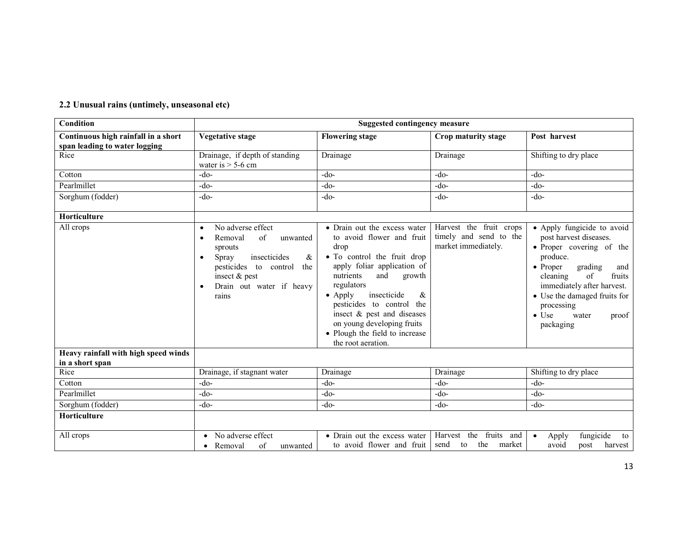| Condition                                                            |                                                                                                                                                                                                         | <b>Suggested contingency measure</b>                                                                                                                                                                                                                                                                                                                                |                                                                          |                                                                                                                                                                                                                                                                                            |  |
|----------------------------------------------------------------------|---------------------------------------------------------------------------------------------------------------------------------------------------------------------------------------------------------|---------------------------------------------------------------------------------------------------------------------------------------------------------------------------------------------------------------------------------------------------------------------------------------------------------------------------------------------------------------------|--------------------------------------------------------------------------|--------------------------------------------------------------------------------------------------------------------------------------------------------------------------------------------------------------------------------------------------------------------------------------------|--|
| Continuous high rainfall in a short<br>span leading to water logging | <b>Vegetative stage</b>                                                                                                                                                                                 | <b>Flowering stage</b>                                                                                                                                                                                                                                                                                                                                              | Crop maturity stage                                                      | Post harvest                                                                                                                                                                                                                                                                               |  |
| Rice                                                                 | Drainage, if depth of standing<br>water is $> 5$ -6 cm                                                                                                                                                  | Drainage                                                                                                                                                                                                                                                                                                                                                            | Drainage                                                                 | Shifting to dry place                                                                                                                                                                                                                                                                      |  |
| Cotton                                                               | $-do-$                                                                                                                                                                                                  | -do-                                                                                                                                                                                                                                                                                                                                                                | $-do-$                                                                   | $-do-$                                                                                                                                                                                                                                                                                     |  |
| Pearlmillet                                                          | $-do-$                                                                                                                                                                                                  | $-do-$                                                                                                                                                                                                                                                                                                                                                              | $-do-$                                                                   | $-do-$                                                                                                                                                                                                                                                                                     |  |
| Sorghum (fodder)                                                     | $-do-$                                                                                                                                                                                                  | $-do-$                                                                                                                                                                                                                                                                                                                                                              | $-do-$                                                                   | $-do-$                                                                                                                                                                                                                                                                                     |  |
| Horticulture                                                         |                                                                                                                                                                                                         |                                                                                                                                                                                                                                                                                                                                                                     |                                                                          |                                                                                                                                                                                                                                                                                            |  |
| All crops                                                            | No adverse effect<br>$\bullet$<br>Removal<br>of<br>unwanted<br>sprouts<br>Spray<br>insecticides<br>&<br>$\bullet$<br>pesticides to control<br>the<br>insect & pest<br>Drain out water if heavy<br>rains | • Drain out the excess water<br>to avoid flower and fruit<br>drop<br>• To control the fruit drop<br>apply foliar application of<br>and<br>nutrients<br>growth<br>regulators<br>$\bullet$ Apply<br>insecticide<br>&<br>pesticides to control the<br>insect & pest and diseases<br>on young developing fruits<br>• Plough the field to increase<br>the root aeration. | Harvest the fruit crops<br>timely and send to the<br>market immediately. | • Apply fungicide to avoid<br>post harvest diseases.<br>• Proper covering of the<br>produce.<br>$\bullet$ Proper<br>grading<br>and<br>cleaning<br>of<br>fruits<br>immediately after harvest.<br>• Use the damaged fruits for<br>processing<br>$\bullet$ Use<br>water<br>proof<br>packaging |  |
| Heavy rainfall with high speed winds<br>in a short span              |                                                                                                                                                                                                         |                                                                                                                                                                                                                                                                                                                                                                     |                                                                          |                                                                                                                                                                                                                                                                                            |  |
| Rice                                                                 | Drainage, if stagnant water                                                                                                                                                                             | Drainage                                                                                                                                                                                                                                                                                                                                                            | Drainage                                                                 | Shifting to dry place                                                                                                                                                                                                                                                                      |  |
| Cotton                                                               | $-do-$                                                                                                                                                                                                  | $-do-$                                                                                                                                                                                                                                                                                                                                                              | $-do-$                                                                   | $-do-$                                                                                                                                                                                                                                                                                     |  |
| Pearlmillet                                                          | $-do-$                                                                                                                                                                                                  | $-do-$                                                                                                                                                                                                                                                                                                                                                              | $-do-$                                                                   | $-do-$                                                                                                                                                                                                                                                                                     |  |
| Sorghum (fodder)                                                     | $-do-$                                                                                                                                                                                                  | -do-                                                                                                                                                                                                                                                                                                                                                                | $-do-$                                                                   | $-do-$                                                                                                                                                                                                                                                                                     |  |
| Horticulture                                                         |                                                                                                                                                                                                         |                                                                                                                                                                                                                                                                                                                                                                     |                                                                          |                                                                                                                                                                                                                                                                                            |  |
| All crops                                                            | No adverse effect<br>of<br>Removal<br>unwanted<br>$\bullet$                                                                                                                                             | • Drain out the excess water<br>to avoid flower and fruit                                                                                                                                                                                                                                                                                                           | fruits and<br>Harvest the<br>the<br>market<br>send<br>to                 | fungicide<br>Apply<br>to<br>avoid<br>harvest<br>post                                                                                                                                                                                                                                       |  |

#### 2.2 Unusual rains (untimely, unseasonal etc)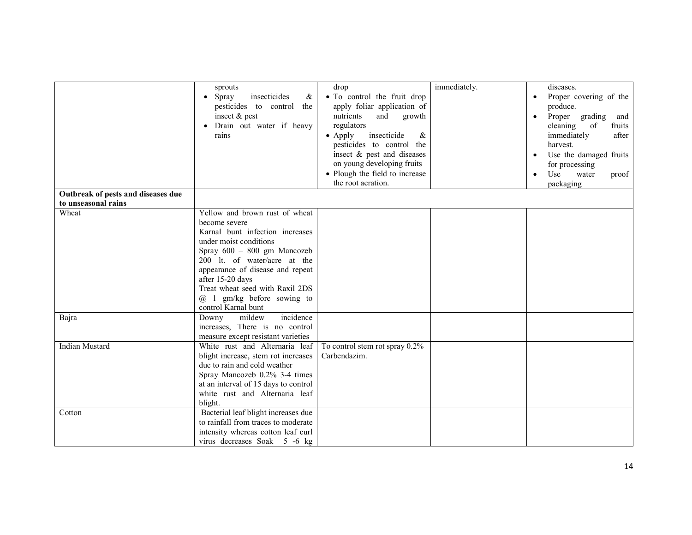|                                    | sprouts<br>Spray<br>insecticides<br>&<br>$\bullet$<br>pesticides to control the<br>insect & pest<br>Drain out water if heavy<br>rains                                                                                                                                                                                           | drop<br>· To control the fruit drop<br>apply foliar application of<br>nutrients<br>and<br>growth<br>regulators<br>$\bullet$ Apply<br>insecticide<br>& | immediately. | diseases.<br>Proper covering of the<br>produce.<br>Proper grading<br>$\bullet$<br>and<br>cleaning of<br>fruits<br>immediately<br>after |
|------------------------------------|---------------------------------------------------------------------------------------------------------------------------------------------------------------------------------------------------------------------------------------------------------------------------------------------------------------------------------|-------------------------------------------------------------------------------------------------------------------------------------------------------|--------------|----------------------------------------------------------------------------------------------------------------------------------------|
|                                    |                                                                                                                                                                                                                                                                                                                                 | pesticides to control the<br>insect & pest and diseases<br>on young developing fruits<br>• Plough the field to increase<br>the root aeration.         |              | harvest.<br>Use the damaged fruits<br>$\bullet$<br>for processing<br>Use<br>water<br>proof<br>$\bullet$<br>packaging                   |
| Outbreak of pests and diseases due |                                                                                                                                                                                                                                                                                                                                 |                                                                                                                                                       |              |                                                                                                                                        |
| to unseasonal rains                |                                                                                                                                                                                                                                                                                                                                 |                                                                                                                                                       |              |                                                                                                                                        |
| Wheat                              | Yellow and brown rust of wheat<br>become severe<br>Karnal bunt infection increases<br>under moist conditions<br>Spray 600 - 800 gm Mancozeb<br>200 lt. of water/acre at the<br>appearance of disease and repeat<br>after 15-20 days<br>Treat wheat seed with Raxil 2DS<br>$(a)$ 1 gm/kg before sowing to<br>control Karnal bunt |                                                                                                                                                       |              |                                                                                                                                        |
| Bajra                              | mildew<br>incidence<br>Downy<br>increases, There is no control<br>measure except resistant varieties                                                                                                                                                                                                                            |                                                                                                                                                       |              |                                                                                                                                        |
| <b>Indian Mustard</b>              | White rust and Alternaria leaf<br>blight increase, stem rot increases<br>due to rain and cold weather<br>Spray Mancozeb 0.2% 3-4 times<br>at an interval of 15 days to control<br>white rust and Alternaria leaf<br>blight.                                                                                                     | To control stem rot spray $0.2\%$<br>Carbendazim.                                                                                                     |              |                                                                                                                                        |
| Cotton                             | Bacterial leaf blight increases due<br>to rainfall from traces to moderate<br>intensity whereas cotton leaf curl<br>virus decreases Soak 5 -6 kg                                                                                                                                                                                |                                                                                                                                                       |              |                                                                                                                                        |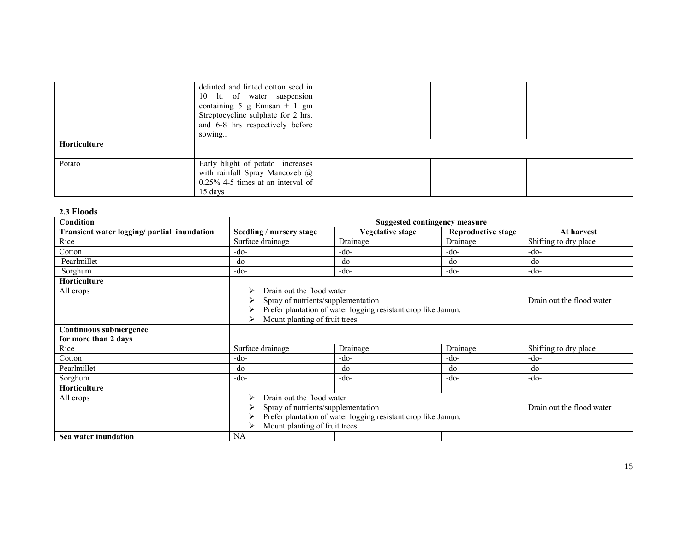|                     | delinted and linted cotton seed in      |  |  |
|---------------------|-----------------------------------------|--|--|
|                     | 10 lt. of water suspension              |  |  |
|                     | containing $5 \text{ g E}$ misan + 1 gm |  |  |
|                     | Streptocycline sulphate for 2 hrs.      |  |  |
|                     | and 6-8 hrs respectively before         |  |  |
|                     | sowing                                  |  |  |
| <b>Horticulture</b> |                                         |  |  |
|                     |                                         |  |  |
| Potato              | Early blight of potato increases        |  |  |
|                     | with rainfall Spray Mancozeb @          |  |  |
|                     | $0.25\%$ 4-5 times at an interval of    |  |  |
|                     | 15 days                                 |  |  |

| 2.3 Floods                                     |                                                                                                                                                                                                               |                                      |                           |                           |
|------------------------------------------------|---------------------------------------------------------------------------------------------------------------------------------------------------------------------------------------------------------------|--------------------------------------|---------------------------|---------------------------|
| <b>Condition</b>                               |                                                                                                                                                                                                               | <b>Suggested contingency measure</b> |                           |                           |
| Transient water logging/ partial inundation    | Seedling / nursery stage                                                                                                                                                                                      | Vegetative stage                     | <b>Reproductive stage</b> | At harvest                |
| Rice                                           | Surface drainage                                                                                                                                                                                              | Drainage                             | Drainage                  | Shifting to dry place     |
| Cotton                                         | -do-                                                                                                                                                                                                          | -do-                                 | -do-                      | -do-                      |
| Pearlmillet                                    | -do-                                                                                                                                                                                                          | -do-                                 | $-do-$                    | $-do-$                    |
| Sorghum                                        | $-do-$                                                                                                                                                                                                        | $-do-$                               | $-do-$                    | $-do-$                    |
| <b>Horticulture</b>                            |                                                                                                                                                                                                               |                                      |                           |                           |
| All crops                                      | Drain out the flood water<br>⋗<br>Spray of nutrients/supplementation<br>Prefer plantation of water logging resistant crop like Jamun.<br>Mount planting of fruit trees<br>⋗                                   |                                      |                           | Drain out the flood water |
| Continuous submergence<br>for more than 2 days |                                                                                                                                                                                                               |                                      |                           |                           |
| Rice                                           | Surface drainage                                                                                                                                                                                              | Drainage                             | Drainage                  | Shifting to dry place     |
| Cotton                                         | $-do-$                                                                                                                                                                                                        | -do-                                 | $-do-$                    | -do-                      |
| Pearlmillet                                    | -do-                                                                                                                                                                                                          | $-do-$                               | $-do-$                    | $-do-$                    |
| Sorghum                                        | -do-                                                                                                                                                                                                          | -do-                                 | -do-                      | $-do-$                    |
| <b>Horticulture</b>                            |                                                                                                                                                                                                               |                                      |                           |                           |
| All crops                                      | Drain out the flood water<br>⋗<br>Spray of nutrients/supplementation<br>Drain out the flood water<br>⋗<br>Prefer plantation of water logging resistant crop like Jamun.<br>Mount planting of fruit trees<br>⋗ |                                      |                           |                           |
| Sea water inundation                           | NA                                                                                                                                                                                                            |                                      |                           |                           |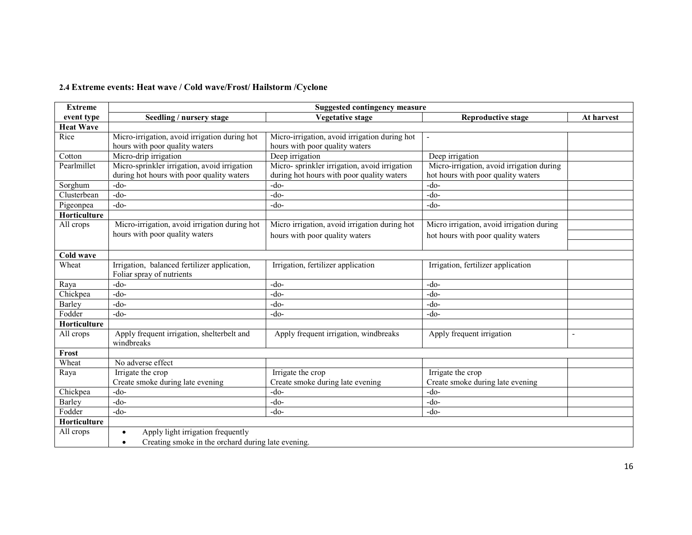## 2.4 Extreme events: Heat wave / Cold wave/Frost/ Hailstorm /Cyclone

| <b>Extreme</b>   | <b>Suggested contingency measure</b>                            |                                               |                                           |                |  |
|------------------|-----------------------------------------------------------------|-----------------------------------------------|-------------------------------------------|----------------|--|
| event type       | Seedling / nursery stage                                        | <b>Vegetative stage</b>                       | <b>Reproductive stage</b>                 | At harvest     |  |
| <b>Heat Wave</b> |                                                                 |                                               |                                           |                |  |
| Rice             | Micro-irrigation, avoid irrigation during hot                   | Micro-irrigation, avoid irrigation during hot |                                           |                |  |
|                  | hours with poor quality waters                                  | hours with poor quality waters                |                                           |                |  |
| Cotton           | Micro-drip irrigation                                           | Deep irrigation                               | Deep irrigation                           |                |  |
| Pearlmillet      | Micro-sprinkler irrigation, avoid irrigation                    | Micro-sprinkler irrigation, avoid irrigation  | Micro-irrigation, avoid irrigation during |                |  |
|                  | during hot hours with poor quality waters                       | during hot hours with poor quality waters     | hot hours with poor quality waters        |                |  |
| Sorghum          | $-do-$                                                          | $-do-$                                        | $-do-$                                    |                |  |
| Clusterbean      | $-do-$                                                          | $-do-$                                        | $-do-$                                    |                |  |
| Pigeonpea        | $-do-$                                                          | $-do-$                                        | $-do-$                                    |                |  |
| Horticulture     |                                                                 |                                               |                                           |                |  |
| All crops        | Micro-irrigation, avoid irrigation during hot                   | Micro irrigation, avoid irrigation during hot | Micro irrigation, avoid irrigation during |                |  |
|                  | hours with poor quality waters                                  | hours with poor quality waters                | hot hours with poor quality waters        |                |  |
|                  |                                                                 |                                               |                                           |                |  |
| Cold wave        |                                                                 |                                               |                                           |                |  |
| Wheat            | Irrigation, balanced fertilizer application,                    | Irrigation, fertilizer application            | Irrigation, fertilizer application        |                |  |
|                  | Foliar spray of nutrients                                       |                                               |                                           |                |  |
| Raya             | $-do-$                                                          | $-do-$                                        | $-do-$                                    |                |  |
| Chickpea         | $-do-$                                                          | $-do-$                                        | $-do-$                                    |                |  |
| Barley           | $-do-$                                                          | $-do-$                                        | $-do-$                                    |                |  |
| Fodder           | $-do-$                                                          | $-do-$                                        | $-do-$                                    |                |  |
| Horticulture     |                                                                 |                                               |                                           |                |  |
| All crops        | Apply frequent irrigation, shelterbelt and                      | Apply frequent irrigation, windbreaks         | Apply frequent irrigation                 | $\blacksquare$ |  |
|                  | windbreaks                                                      |                                               |                                           |                |  |
| Frost            |                                                                 |                                               |                                           |                |  |
| Wheat            | No adverse effect                                               |                                               |                                           |                |  |
| Raya             | Irrigate the crop                                               | Irrigate the crop                             | Irrigate the crop                         |                |  |
|                  | Create smoke during late evening                                | Create smoke during late evening              | Create smoke during late evening          |                |  |
| Chickpea         | $-do-$                                                          | $-do-$                                        | $-do-$                                    |                |  |
| Barley           | $-do-$                                                          | $-do-$                                        | $-do-$                                    |                |  |
| Fodder           | $-do-$                                                          | $-do-$                                        | $-do-$                                    |                |  |
| Horticulture     |                                                                 |                                               |                                           |                |  |
| All crops        | Apply light irrigation frequently<br>$\bullet$                  |                                               |                                           |                |  |
|                  | Creating smoke in the orchard during late evening.<br>$\bullet$ |                                               |                                           |                |  |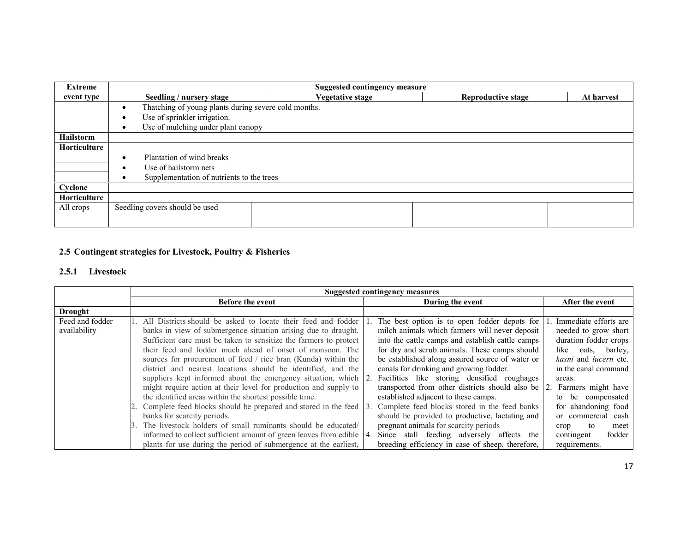| Extreme          | <b>Suggested contingency measure</b>                 |                         |                           |            |  |  |  |
|------------------|------------------------------------------------------|-------------------------|---------------------------|------------|--|--|--|
| event type       | Seedling / nursery stage                             | <b>Vegetative stage</b> | <b>Reproductive stage</b> | At harvest |  |  |  |
|                  | Thatching of young plants during severe cold months. |                         |                           |            |  |  |  |
|                  | Use of sprinkler irrigation.                         |                         |                           |            |  |  |  |
|                  | Use of mulching under plant canopy<br>٠              |                         |                           |            |  |  |  |
| <b>Hailstorm</b> |                                                      |                         |                           |            |  |  |  |
| Horticulture     |                                                      |                         |                           |            |  |  |  |
|                  | Plantation of wind breaks                            |                         |                           |            |  |  |  |
|                  | Use of hailstorm nets                                |                         |                           |            |  |  |  |
|                  | Supplementation of nutrients to the trees            |                         |                           |            |  |  |  |
| Cyclone          |                                                      |                         |                           |            |  |  |  |
| Horticulture     |                                                      |                         |                           |            |  |  |  |
| All crops        | Seedling covers should be used                       |                         |                           |            |  |  |  |
|                  |                                                      |                         |                           |            |  |  |  |

## 2.5 Contingent strategies for Livestock, Poultry & Fisheries

## 2.5.1 Livestock

|                 | <b>Suggested contingency measures</b>                                  |                                                                       |                                     |  |  |
|-----------------|------------------------------------------------------------------------|-----------------------------------------------------------------------|-------------------------------------|--|--|
|                 | <b>Before the event</b>                                                | During the event                                                      | After the event                     |  |  |
| Drought         |                                                                        |                                                                       |                                     |  |  |
| Feed and fodder | All Districts should be asked to locate their feed and fodder          | The best option is to open fodder depots for                          | Immediate efforts are               |  |  |
| availability    | banks in view of submergence situation arising due to draught.         | milch animals which farmers will never deposit                        | needed to grow short                |  |  |
|                 | Sufficient care must be taken to sensitize the farmers to protect      | into the cattle camps and establish cattle camps                      | duration fodder crops               |  |  |
|                 | their feed and fodder much ahead of onset of monsoon. The              | for dry and scrub animals. These camps should                         | like oats, barley,                  |  |  |
|                 | sources for procurement of feed / rice bran (Kunda) within the         | be established along assured source of water or                       | <i>kasni</i> and <i>lucern</i> etc. |  |  |
|                 | district and nearest locations should be identified, and the           | canals for drinking and growing fodder.                               | in the canal command                |  |  |
|                 | suppliers kept informed about the emergency situation, which 2.        | Facilities like storing densified roughages                           | areas.                              |  |  |
|                 | might require action at their level for production and supply to       | transported from other districts should also be 2. Farmers might have |                                     |  |  |
|                 | the identified areas within the shortest possible time.                | established adjacent to these camps.                                  | to be compensated                   |  |  |
|                 | Complete feed blocks should be prepared and stored in the feed 3.      | Complete feed blocks stored in the feed banks                         | for abandoning food                 |  |  |
|                 | banks for scarcity periods.                                            | should be provided to productive, lactating and                       | or commercial cash                  |  |  |
|                 | The livestock holders of small ruminants should be educated/<br>3.     | pregnant animals for scarcity periods                                 | to<br>meet<br>crop                  |  |  |
|                 | informed to collect sufficient amount of green leaves from edible   4. | Since stall feeding adversely affects the                             | fodder<br>contingent                |  |  |
|                 | plants for use during the period of submergence at the earliest,       | breeding efficiency in case of sheep, therefore,                      | requirements.                       |  |  |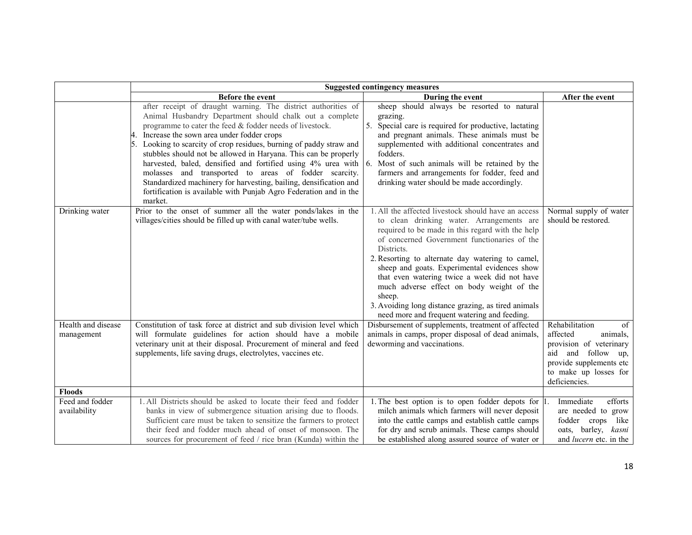|                                  | <b>Suggested contingency measures</b>                                                                                                                                                                                                                                                                                                                                                                                                                                                                                                                                                                                                                                 |                                                                                                                                                                                                                                                                                                                                                                                                                                                                                                                                            |                                                                                                                                                                       |  |  |
|----------------------------------|-----------------------------------------------------------------------------------------------------------------------------------------------------------------------------------------------------------------------------------------------------------------------------------------------------------------------------------------------------------------------------------------------------------------------------------------------------------------------------------------------------------------------------------------------------------------------------------------------------------------------------------------------------------------------|--------------------------------------------------------------------------------------------------------------------------------------------------------------------------------------------------------------------------------------------------------------------------------------------------------------------------------------------------------------------------------------------------------------------------------------------------------------------------------------------------------------------------------------------|-----------------------------------------------------------------------------------------------------------------------------------------------------------------------|--|--|
|                                  | <b>Before the event</b>                                                                                                                                                                                                                                                                                                                                                                                                                                                                                                                                                                                                                                               | During the event                                                                                                                                                                                                                                                                                                                                                                                                                                                                                                                           | After the event                                                                                                                                                       |  |  |
|                                  | after receipt of draught warning. The district authorities of<br>Animal Husbandry Department should chalk out a complete<br>programme to cater the feed & fodder needs of livestock.<br>Increase the sown area under fodder crops<br>Looking to scarcity of crop residues, burning of paddy straw and<br>stubbles should not be allowed in Haryana. This can be properly<br>harvested, baled, densified and fortified using $4\%$ urea with $\vert 6$ .<br>molasses and transported to areas of fodder scarcity.<br>Standardized machinery for harvesting, bailing, densification and<br>fortification is available with Punjab Agro Federation and in the<br>market. | sheep should always be resorted to natural<br>grazing.<br>5.<br>Special care is required for productive, lactating<br>and pregnant animals. These animals must be<br>supplemented with additional concentrates and<br>fodders.<br>Most of such animals will be retained by the<br>farmers and arrangements for fodder, feed and<br>drinking water should be made accordingly.                                                                                                                                                              |                                                                                                                                                                       |  |  |
| Drinking water                   | Prior to the onset of summer all the water ponds/lakes in the<br>villages/cities should be filled up with canal water/tube wells.                                                                                                                                                                                                                                                                                                                                                                                                                                                                                                                                     | 1. All the affected livestock should have an access<br>to clean drinking water. Arrangements are<br>required to be made in this regard with the help<br>of concerned Government functionaries of the<br><b>Districts</b><br>2. Resorting to alternate day watering to camel,<br>sheep and goats. Experimental evidences show<br>that even watering twice a week did not have<br>much adverse effect on body weight of the<br>sheep.<br>3. Avoiding long distance grazing, as tired animals<br>need more and frequent watering and feeding. | Normal supply of water<br>should be restored.                                                                                                                         |  |  |
| Health and disease<br>management | Constitution of task force at district and sub division level which<br>will formulate guidelines for action should have a mobile<br>veterinary unit at their disposal. Procurement of mineral and feed<br>supplements, life saving drugs, electrolytes, vaccines etc.                                                                                                                                                                                                                                                                                                                                                                                                 | Disbursement of supplements, treatment of affected<br>animals in camps, proper disposal of dead animals,<br>deworming and vaccinations.                                                                                                                                                                                                                                                                                                                                                                                                    | Rehabilitation<br>of<br>affected<br>animals,<br>provision of veterinary<br>and follow up,<br>aid<br>provide supplements etc<br>to make up losses for<br>deficiencies. |  |  |
| <b>Floods</b>                    |                                                                                                                                                                                                                                                                                                                                                                                                                                                                                                                                                                                                                                                                       |                                                                                                                                                                                                                                                                                                                                                                                                                                                                                                                                            |                                                                                                                                                                       |  |  |
| Feed and fodder<br>availability  | 1. All Districts should be asked to locate their feed and fodder<br>banks in view of submergence situation arising due to floods.<br>Sufficient care must be taken to sensitize the farmers to protect<br>their feed and fodder much ahead of onset of monsoon. The<br>sources for procurement of feed / rice bran (Kunda) within the                                                                                                                                                                                                                                                                                                                                 | 1. The best option is to open fodder depots for $ 1\rangle$<br>milch animals which farmers will never deposit<br>into the cattle camps and establish cattle camps<br>for dry and scrub animals. These camps should<br>be established along assured source of water or                                                                                                                                                                                                                                                                      | Immediate<br>efforts<br>are needed to grow<br>fodder crops like<br>oats, barley, kasni<br>and <i>lucern</i> etc. in the                                               |  |  |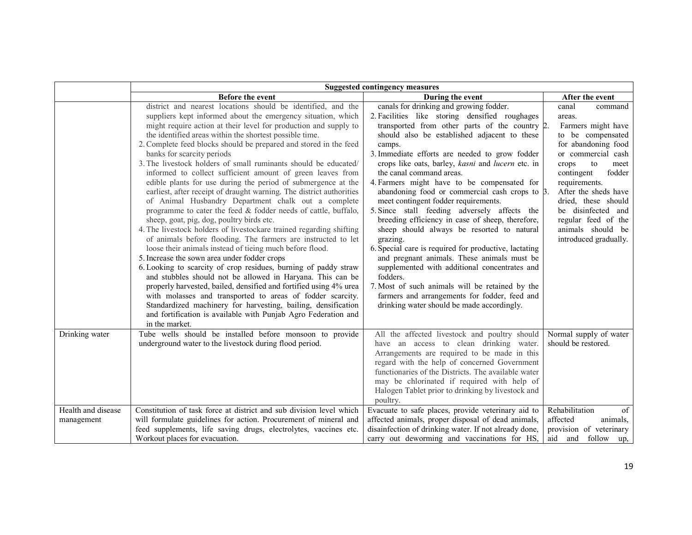|                                  | <b>Suggested contingency measures</b>                                                                                                                                                                                                                                                                                                                                                                                                                                                                                                                                                                                                                                                                                                                                                                                                                                                                                                                                                                                                                                                                                                                                                                                                                                                                                                                                                                                                                                                       |                                                                                                                                                                                                                                                                                                                                                                                                                                                                                                                                                                                                                                                                                                                                                                                                                                                                                                                                                                               |                                                                                                                                                                                                                                                                                                                              |  |
|----------------------------------|---------------------------------------------------------------------------------------------------------------------------------------------------------------------------------------------------------------------------------------------------------------------------------------------------------------------------------------------------------------------------------------------------------------------------------------------------------------------------------------------------------------------------------------------------------------------------------------------------------------------------------------------------------------------------------------------------------------------------------------------------------------------------------------------------------------------------------------------------------------------------------------------------------------------------------------------------------------------------------------------------------------------------------------------------------------------------------------------------------------------------------------------------------------------------------------------------------------------------------------------------------------------------------------------------------------------------------------------------------------------------------------------------------------------------------------------------------------------------------------------|-------------------------------------------------------------------------------------------------------------------------------------------------------------------------------------------------------------------------------------------------------------------------------------------------------------------------------------------------------------------------------------------------------------------------------------------------------------------------------------------------------------------------------------------------------------------------------------------------------------------------------------------------------------------------------------------------------------------------------------------------------------------------------------------------------------------------------------------------------------------------------------------------------------------------------------------------------------------------------|------------------------------------------------------------------------------------------------------------------------------------------------------------------------------------------------------------------------------------------------------------------------------------------------------------------------------|--|
|                                  | Before the event                                                                                                                                                                                                                                                                                                                                                                                                                                                                                                                                                                                                                                                                                                                                                                                                                                                                                                                                                                                                                                                                                                                                                                                                                                                                                                                                                                                                                                                                            | During the event                                                                                                                                                                                                                                                                                                                                                                                                                                                                                                                                                                                                                                                                                                                                                                                                                                                                                                                                                              | After the event                                                                                                                                                                                                                                                                                                              |  |
|                                  | district and nearest locations should be identified, and the<br>suppliers kept informed about the emergency situation, which<br>might require action at their level for production and supply to<br>the identified areas within the shortest possible time.<br>2. Complete feed blocks should be prepared and stored in the feed<br>banks for scarcity periods<br>3. The livestock holders of small ruminants should be educated/<br>informed to collect sufficient amount of green leaves from<br>edible plants for use during the period of submergence at the<br>earliest, after receipt of draught warning. The district authorities<br>of Animal Husbandry Department chalk out a complete<br>programme to cater the feed & fodder needs of cattle, buffalo,<br>sheep, goat, pig, dog, poultry birds etc.<br>4. The livestock holders of livestockare trained regarding shifting<br>of animals before flooding. The farmers are instructed to let<br>loose their animals instead of tieing much before flood.<br>5. Increase the sown area under fodder crops<br>6. Looking to scarcity of crop residues, burning of paddy straw<br>and stubbles should not be allowed in Haryana. This can be<br>properly harvested, bailed, densified and fortified using 4% urea<br>with molasses and transported to areas of fodder scarcity.<br>Standardized machinery for harvesting, bailing, densification<br>and fortification is available with Punjab Agro Federation and<br>in the market. | canals for drinking and growing fodder.<br>2. Facilities like storing densified roughages<br>transported from other parts of the country 2.<br>should also be established adjacent to these<br>camps.<br>3. Immediate efforts are needed to grow fodder<br>crops like oats, barley, kasni and lucern etc. in<br>the canal command areas.<br>4. Farmers might have to be compensated for<br>abandoning food or commercial cash crops to $\beta$ .<br>meet contingent fodder requirements.<br>5. Since stall feeding adversely affects the<br>breeding efficiency in case of sheep, therefore,<br>sheep should always be resorted to natural<br>grazing.<br>6. Special care is required for productive, lactating<br>and pregnant animals. These animals must be<br>supplemented with additional concentrates and<br>fodders.<br>7. Most of such animals will be retained by the<br>farmers and arrangements for fodder, feed and<br>drinking water should be made accordingly. | canal<br>command<br>areas.<br>Farmers might have<br>to be compensated<br>for abandoning food<br>or commercial cash<br>crops<br>to<br>meet<br>contingent<br>fodder<br>requirements.<br>After the sheds have<br>dried, these should<br>be disinfected and<br>regular feed of the<br>animals should be<br>introduced gradually. |  |
| Drinking water                   | Tube wells should be installed before monsoon to provide<br>underground water to the livestock during flood period.                                                                                                                                                                                                                                                                                                                                                                                                                                                                                                                                                                                                                                                                                                                                                                                                                                                                                                                                                                                                                                                                                                                                                                                                                                                                                                                                                                         | All the affected livestock and poultry should<br>have an access to clean drinking water.<br>Arrangements are required to be made in this<br>regard with the help of concerned Government<br>functionaries of the Districts. The available water<br>may be chlorinated if required with help of<br>Halogen Tablet prior to drinking by livestock and<br>poultry.                                                                                                                                                                                                                                                                                                                                                                                                                                                                                                                                                                                                               | Normal supply of water<br>should be restored.                                                                                                                                                                                                                                                                                |  |
| Health and disease<br>management | Constitution of task force at district and sub division level which<br>will formulate guidelines for action. Procurement of mineral and<br>feed supplements, life saving drugs, electrolytes, vaccines etc.<br>Workout places for evacuation.                                                                                                                                                                                                                                                                                                                                                                                                                                                                                                                                                                                                                                                                                                                                                                                                                                                                                                                                                                                                                                                                                                                                                                                                                                               | Evacuate to safe places, provide veterinary aid to<br>affected animals, proper disposal of dead animals,<br>disainfection of drinking water. If not already done,<br>carry out deworming and vaccinations for HS,                                                                                                                                                                                                                                                                                                                                                                                                                                                                                                                                                                                                                                                                                                                                                             | Rehabilitation<br>of<br>affected<br>animals,<br>provision of veterinary<br>aid and follow up,                                                                                                                                                                                                                                |  |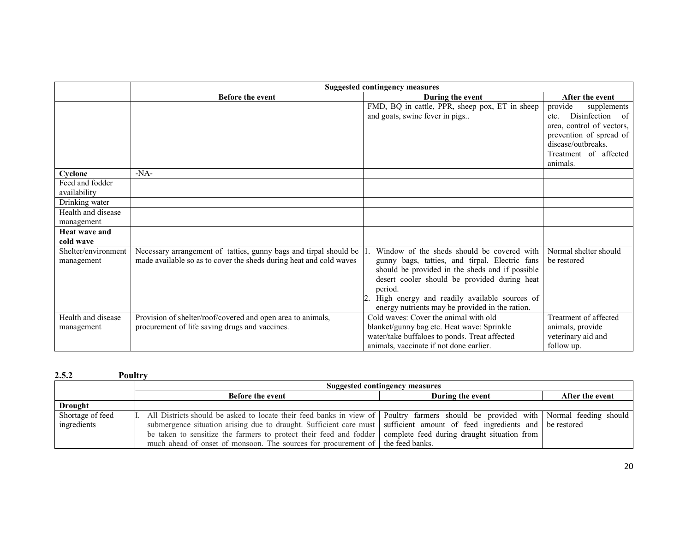|                      | <b>Suggested contingency measures</b>                                 |                                                 |                           |
|----------------------|-----------------------------------------------------------------------|-------------------------------------------------|---------------------------|
|                      | <b>Before the event</b>                                               | During the event                                | After the event           |
|                      |                                                                       | FMD, BQ in cattle, PPR, sheep pox, ET in sheep  | provide<br>supplements    |
|                      |                                                                       | and goats, swine fever in pigs                  | Disinfection of<br>etc.   |
|                      |                                                                       |                                                 | area, control of vectors, |
|                      |                                                                       |                                                 | prevention of spread of   |
|                      |                                                                       |                                                 | disease/outbreaks.        |
|                      |                                                                       |                                                 | Treatment of affected     |
|                      |                                                                       |                                                 | animals.                  |
| Cyclone              | $-NA-$                                                                |                                                 |                           |
| Feed and fodder      |                                                                       |                                                 |                           |
| availability         |                                                                       |                                                 |                           |
| Drinking water       |                                                                       |                                                 |                           |
| Health and disease   |                                                                       |                                                 |                           |
| management           |                                                                       |                                                 |                           |
| <b>Heat wave and</b> |                                                                       |                                                 |                           |
| cold wave            |                                                                       |                                                 |                           |
| Shelter/environment  | Necessary arrangement of tatties, gunny bags and tirpal should be  1. | Window of the sheds should be covered with      | Normal shelter should     |
| management           | made available so as to cover the sheds during heat and cold waves    | gunny bags, tatties, and tirpal. Electric fans  | be restored               |
|                      |                                                                       | should be provided in the sheds and if possible |                           |
|                      |                                                                       | desert cooler should be provided during heat    |                           |
|                      |                                                                       | period.                                         |                           |
|                      |                                                                       | High energy and readily available sources of    |                           |
|                      |                                                                       | energy nutrients may be provided in the ration. |                           |
| Health and disease   | Provision of shelter/roof/covered and open area to animals,           | Cold waves: Cover the animal with old           | Treatment of affected     |
| management           | procurement of life saving drugs and vaccines.                        | blanket/gunny bag etc. Heat wave: Sprinkle      | animals, provide          |
|                      |                                                                       | water/take buffaloes to ponds. Treat affected   | veterinary aid and        |
|                      |                                                                       | animals, vaccinate if not done earlier.         | follow up.                |

| 2.5.2            | Poultrv                                                                                                                           |                                             |  |  |  |
|------------------|-----------------------------------------------------------------------------------------------------------------------------------|---------------------------------------------|--|--|--|
|                  | Suggested contingency measures                                                                                                    |                                             |  |  |  |
|                  | During the event<br><b>Before the event</b><br>After the event                                                                    |                                             |  |  |  |
| Drought          |                                                                                                                                   |                                             |  |  |  |
| Shortage of feed | All Districts should be asked to locate their feed banks in view of Poultry farmers should be provided with Normal feeding should |                                             |  |  |  |
| ingredients      | submergence situation arising due to draught. Sufficient care must sufficient amount of feed ingredients and be restored          |                                             |  |  |  |
|                  | be taken to sensitize the farmers to protect their feed and fodder                                                                | complete feed during draught situation from |  |  |  |
|                  | much ahead of onset of monsoon. The sources for procurement of the feed banks.                                                    |                                             |  |  |  |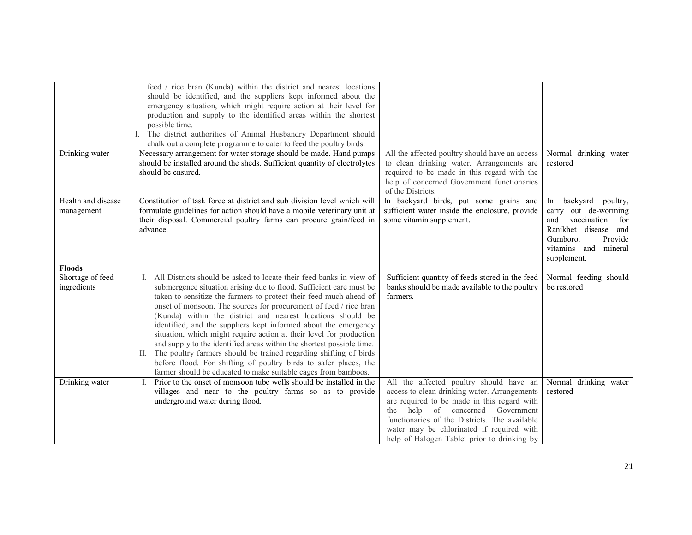|                                  | feed / rice bran (Kunda) within the district and nearest locations<br>should be identified, and the suppliers kept informed about the<br>emergency situation, which might require action at their level for<br>production and supply to the identified areas within the shortest<br>possible time.<br>The district authorities of Animal Husbandry Department should<br>chalk out a complete programme to cater to feed the poultry birds.                                                                                                                                                                                                                                                                                                                                             |                                                                                                                                                                                                                                                                                                                            |                                                                                                                                                                          |
|----------------------------------|----------------------------------------------------------------------------------------------------------------------------------------------------------------------------------------------------------------------------------------------------------------------------------------------------------------------------------------------------------------------------------------------------------------------------------------------------------------------------------------------------------------------------------------------------------------------------------------------------------------------------------------------------------------------------------------------------------------------------------------------------------------------------------------|----------------------------------------------------------------------------------------------------------------------------------------------------------------------------------------------------------------------------------------------------------------------------------------------------------------------------|--------------------------------------------------------------------------------------------------------------------------------------------------------------------------|
| Drinking water                   | Necessary arrangement for water storage should be made. Hand pumps<br>should be installed around the sheds. Sufficient quantity of electrolytes<br>should be ensured.                                                                                                                                                                                                                                                                                                                                                                                                                                                                                                                                                                                                                  | All the affected poultry should have an access<br>to clean drinking water. Arrangements are<br>required to be made in this regard with the<br>help of concerned Government functionaries<br>of the Districts.                                                                                                              | Normal drinking water<br>restored                                                                                                                                        |
| Health and disease<br>management | Constitution of task force at district and sub division level which will<br>formulate guidelines for action should have a mobile veterinary unit at<br>their disposal. Commercial poultry farms can procure grain/feed in<br>advance.                                                                                                                                                                                                                                                                                                                                                                                                                                                                                                                                                  | In backyard birds, put some grains and<br>sufficient water inside the enclosure, provide<br>some vitamin supplement.                                                                                                                                                                                                       | backyard<br>poultry,<br>In<br>carry out de-worming<br>and<br>vaccination<br>for<br>Ranikhet disease and<br>Gumboro.<br>Provide<br>vitamins and<br>mineral<br>supplement. |
| <b>Floods</b>                    |                                                                                                                                                                                                                                                                                                                                                                                                                                                                                                                                                                                                                                                                                                                                                                                        |                                                                                                                                                                                                                                                                                                                            |                                                                                                                                                                          |
| Shortage of feed<br>ingredients  | All Districts should be asked to locate their feed banks in view of<br>submergence situation arising due to flood. Sufficient care must be<br>taken to sensitize the farmers to protect their feed much ahead of<br>onset of monsoon. The sources for procurement of feed / rice bran<br>(Kunda) within the district and nearest locations should be<br>identified, and the suppliers kept informed about the emergency<br>situation, which might require action at their level for production<br>and supply to the identified areas within the shortest possible time.<br>II. The poultry farmers should be trained regarding shifting of birds<br>before flood. For shifting of poultry birds to safer places, the<br>farmer should be educated to make suitable cages from bamboos. | Sufficient quantity of feeds stored in the feed<br>banks should be made available to the poultry<br>farmers.                                                                                                                                                                                                               | Normal feeding should<br>be restored                                                                                                                                     |
| Drinking water                   | Prior to the onset of monsoon tube wells should be installed in the<br>villages and near to the poultry farms so as to provide<br>underground water during flood.                                                                                                                                                                                                                                                                                                                                                                                                                                                                                                                                                                                                                      | All the affected poultry should have an<br>access to clean drinking water. Arrangements<br>are required to be made in this regard with<br>help of concerned Government<br>the<br>functionaries of the Districts. The available<br>water may be chlorinated if required with<br>help of Halogen Tablet prior to drinking by | Normal drinking water<br>restored                                                                                                                                        |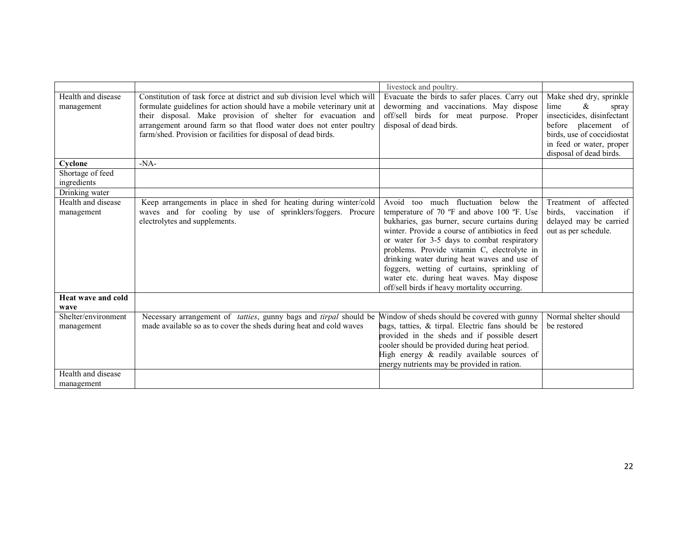|                     |                                                                                  | livestock and poultry.                           |                            |
|---------------------|----------------------------------------------------------------------------------|--------------------------------------------------|----------------------------|
|                     | Constitution of task force at district and sub division level which will         |                                                  |                            |
| Health and disease  |                                                                                  | Evacuate the birds to safer places. Carry out    | Make shed dry, sprinkle    |
| management          | formulate guidelines for action should have a mobile veterinary unit at          | deworming and vaccinations. May dispose          | &<br>lime<br>spray         |
|                     | their disposal. Make provision of shelter for evacuation and                     | off/sell birds for meat purpose. Proper          | insecticides, disinfectant |
|                     | arrangement around farm so that flood water does not enter poultry               | disposal of dead birds.                          | before placement of        |
|                     | farm/shed. Provision or facilities for disposal of dead birds.                   |                                                  | birds, use of coccidiostat |
|                     |                                                                                  |                                                  | in feed or water, proper   |
|                     |                                                                                  |                                                  | disposal of dead birds.    |
| Cyclone             | $-NA-$                                                                           |                                                  |                            |
| Shortage of feed    |                                                                                  |                                                  |                            |
| ingredients         |                                                                                  |                                                  |                            |
| Drinking water      |                                                                                  |                                                  |                            |
| Health and disease  | Keep arrangements in place in shed for heating during winter/cold                | too much<br>fluctuation<br>Avoid<br>below the    | Treatment of affected      |
| management          | waves and for cooling by use of sprinklers/foggers. Procure                      | temperature of 70 °F and above 100 °F. Use       | birds, vaccination if      |
|                     | electrolytes and supplements.                                                    | bukharies, gas burner, secure curtains during    | delayed may be carried     |
|                     |                                                                                  | winter. Provide a course of antibiotics in feed  | out as per schedule.       |
|                     |                                                                                  | or water for 3-5 days to combat respiratory      |                            |
|                     |                                                                                  | problems. Provide vitamin C, electrolyte in      |                            |
|                     |                                                                                  | drinking water during heat waves and use of      |                            |
|                     |                                                                                  | foggers, wetting of curtains, sprinkling of      |                            |
|                     |                                                                                  | water etc. during heat waves. May dispose        |                            |
|                     |                                                                                  | off/sell birds if heavy mortality occurring.     |                            |
| Heat wave and cold  |                                                                                  |                                                  |                            |
|                     |                                                                                  |                                                  |                            |
| wave                |                                                                                  |                                                  |                            |
| Shelter/environment | Necessary arrangement of <i>tatties</i> , gunny bags and <i>tirpal</i> should be | Window of sheds should be covered with gunny     | Normal shelter should      |
| management          | made available so as to cover the sheds during heat and cold waves               | bags, tatties, & tirpal. Electric fans should be | be restored                |
|                     |                                                                                  | provided in the sheds and if possible desert     |                            |
|                     |                                                                                  | cooler should be provided during heat period.    |                            |
|                     |                                                                                  | High energy & readily available sources of       |                            |
|                     |                                                                                  | energy nutrients may be provided in ration.      |                            |
| Health and disease  |                                                                                  |                                                  |                            |
| management          |                                                                                  |                                                  |                            |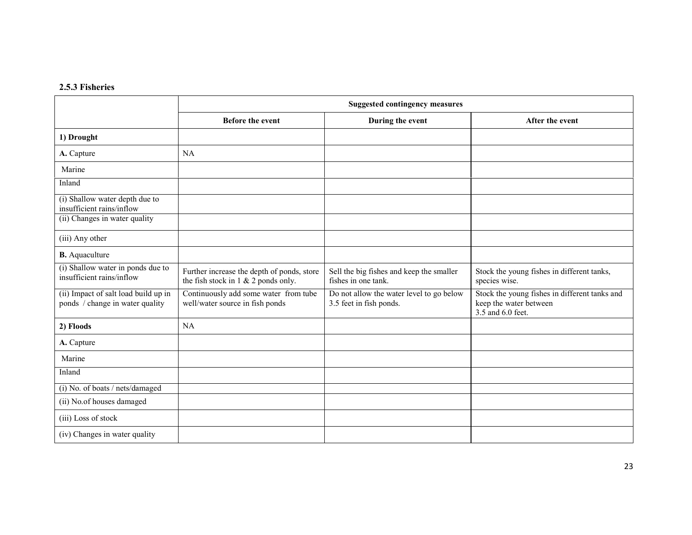#### 2.5.3 Fisheries

|                                                                         | <b>Suggested contingency measures</b>                                                |                                                                     |                                                                                              |
|-------------------------------------------------------------------------|--------------------------------------------------------------------------------------|---------------------------------------------------------------------|----------------------------------------------------------------------------------------------|
|                                                                         | Before the event                                                                     | During the event                                                    | After the event                                                                              |
| 1) Drought                                                              |                                                                                      |                                                                     |                                                                                              |
| A. Capture                                                              | <b>NA</b>                                                                            |                                                                     |                                                                                              |
| Marine                                                                  |                                                                                      |                                                                     |                                                                                              |
| Inland                                                                  |                                                                                      |                                                                     |                                                                                              |
| (i) Shallow water depth due to<br>insufficient rains/inflow             |                                                                                      |                                                                     |                                                                                              |
| (ii) Changes in water quality                                           |                                                                                      |                                                                     |                                                                                              |
| (iii) Any other                                                         |                                                                                      |                                                                     |                                                                                              |
| <b>B.</b> Aquaculture                                                   |                                                                                      |                                                                     |                                                                                              |
| (i) Shallow water in ponds due to<br>insufficient rains/inflow          | Further increase the depth of ponds, store<br>the fish stock in $1 \& 2$ ponds only. | Sell the big fishes and keep the smaller<br>fishes in one tank.     | Stock the young fishes in different tanks,<br>species wise.                                  |
| (ii) Impact of salt load build up in<br>ponds / change in water quality | Continuously add some water from tube<br>well/water source in fish ponds             | Do not allow the water level to go below<br>3.5 feet in fish ponds. | Stock the young fishes in different tanks and<br>keep the water between<br>3.5 and 6.0 feet. |
| 2) Floods                                                               | <b>NA</b>                                                                            |                                                                     |                                                                                              |
| A. Capture                                                              |                                                                                      |                                                                     |                                                                                              |
| Marine                                                                  |                                                                                      |                                                                     |                                                                                              |
| Inland                                                                  |                                                                                      |                                                                     |                                                                                              |
| (i) No. of boats / nets/damaged                                         |                                                                                      |                                                                     |                                                                                              |
| (ii) No.of houses damaged                                               |                                                                                      |                                                                     |                                                                                              |
| (iii) Loss of stock                                                     |                                                                                      |                                                                     |                                                                                              |
| (iv) Changes in water quality                                           |                                                                                      |                                                                     |                                                                                              |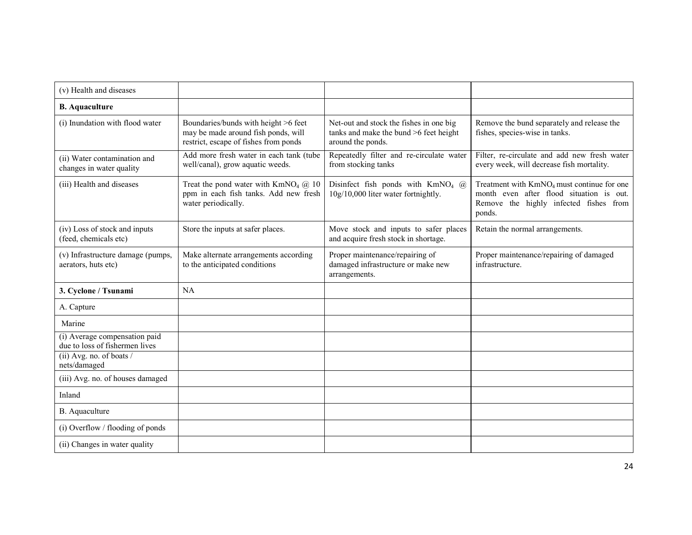| (v) Health and diseases                                         |                                                                                                                      |                                                                                                        |                                                                                                                                                        |
|-----------------------------------------------------------------|----------------------------------------------------------------------------------------------------------------------|--------------------------------------------------------------------------------------------------------|--------------------------------------------------------------------------------------------------------------------------------------------------------|
| <b>B.</b> Aquaculture                                           |                                                                                                                      |                                                                                                        |                                                                                                                                                        |
| (i) Inundation with flood water                                 | Boundaries/bunds with height >6 feet<br>may be made around fish ponds, will<br>restrict, escape of fishes from ponds | Net-out and stock the fishes in one big<br>tanks and make the bund >6 feet height<br>around the ponds. | Remove the bund separately and release the<br>fishes, species-wise in tanks.                                                                           |
| (ii) Water contamination and<br>changes in water quality        | Add more fresh water in each tank (tube<br>well/canal), grow aquatic weeds.                                          | Repeatedly filter and re-circulate water<br>from stocking tanks                                        | Filter, re-circulate and add new fresh water<br>every week, will decrease fish mortality.                                                              |
| (iii) Health and diseases                                       | Treat the pond water with $KmNO4$ ( $\ddot{a}$ ) 10<br>ppm in each fish tanks. Add new fresh<br>water periodically.  | Disinfect fish ponds with $KmNO4$ (a)<br>10g/10,000 liter water fortnightly.                           | Treatment with KmNO <sub>4</sub> must continue for one<br>month even after flood situation is out.<br>Remove the highly infected fishes from<br>ponds. |
| (iv) Loss of stock and inputs<br>(feed, chemicals etc)          | Store the inputs at safer places.                                                                                    | Move stock and inputs to safer places<br>and acquire fresh stock in shortage.                          | Retain the normal arrangements.                                                                                                                        |
| (v) Infrastructure damage (pumps,<br>aerators, huts etc)        | Make alternate arrangements according<br>to the anticipated conditions                                               | Proper maintenance/repairing of<br>damaged infrastructure or make new<br>arrangements.                 | Proper maintenance/repairing of damaged<br>infrastructure.                                                                                             |
| 3. Cyclone / Tsunami                                            | NA                                                                                                                   |                                                                                                        |                                                                                                                                                        |
| A. Capture                                                      |                                                                                                                      |                                                                                                        |                                                                                                                                                        |
| Marine                                                          |                                                                                                                      |                                                                                                        |                                                                                                                                                        |
| (i) Average compensation paid<br>due to loss of fishermen lives |                                                                                                                      |                                                                                                        |                                                                                                                                                        |
| (ii) Avg. no. of boats /<br>nets/damaged                        |                                                                                                                      |                                                                                                        |                                                                                                                                                        |
| (iii) Avg. no. of houses damaged                                |                                                                                                                      |                                                                                                        |                                                                                                                                                        |
| Inland                                                          |                                                                                                                      |                                                                                                        |                                                                                                                                                        |
| B. Aquaculture                                                  |                                                                                                                      |                                                                                                        |                                                                                                                                                        |
| (i) Overflow / flooding of ponds                                |                                                                                                                      |                                                                                                        |                                                                                                                                                        |
| (ii) Changes in water quality                                   |                                                                                                                      |                                                                                                        |                                                                                                                                                        |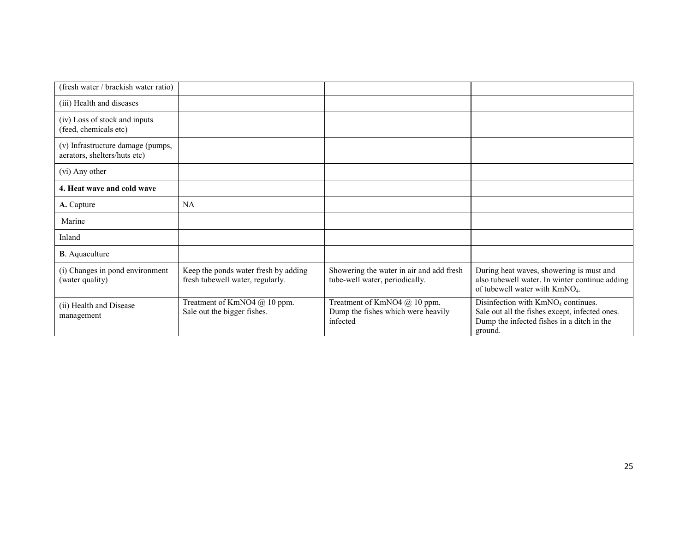| (fresh water / brackish water ratio)                              |                                                                          |                                                                                |                                                                                                                                                           |
|-------------------------------------------------------------------|--------------------------------------------------------------------------|--------------------------------------------------------------------------------|-----------------------------------------------------------------------------------------------------------------------------------------------------------|
| (iii) Health and diseases                                         |                                                                          |                                                                                |                                                                                                                                                           |
| (iv) Loss of stock and inputs<br>(feed, chemicals etc)            |                                                                          |                                                                                |                                                                                                                                                           |
| (v) Infrastructure damage (pumps,<br>aerators, shelters/huts etc) |                                                                          |                                                                                |                                                                                                                                                           |
| (vi) Any other                                                    |                                                                          |                                                                                |                                                                                                                                                           |
| 4. Heat wave and cold wave                                        |                                                                          |                                                                                |                                                                                                                                                           |
| A. Capture                                                        | <b>NA</b>                                                                |                                                                                |                                                                                                                                                           |
| Marine                                                            |                                                                          |                                                                                |                                                                                                                                                           |
| Inland                                                            |                                                                          |                                                                                |                                                                                                                                                           |
| <b>B</b> . Aquaculture                                            |                                                                          |                                                                                |                                                                                                                                                           |
| (i) Changes in pond environment<br>(water quality)                | Keep the ponds water fresh by adding<br>fresh tubewell water, regularly. | Showering the water in air and add fresh<br>tube-well water, periodically.     | During heat waves, showering is must and<br>also tubewell water. In winter continue adding<br>of tubewell water with KmNO <sub>4</sub> .                  |
| (ii) Health and Disease<br>management                             | Treatment of KmNO4 @ 10 ppm.<br>Sale out the bigger fishes.              | Treatment of KmNO4 @ 10 ppm.<br>Dump the fishes which were heavily<br>infected | Disinfection with KmNO <sub>4</sub> continues.<br>Sale out all the fishes except, infected ones.<br>Dump the infected fishes in a ditch in the<br>ground. |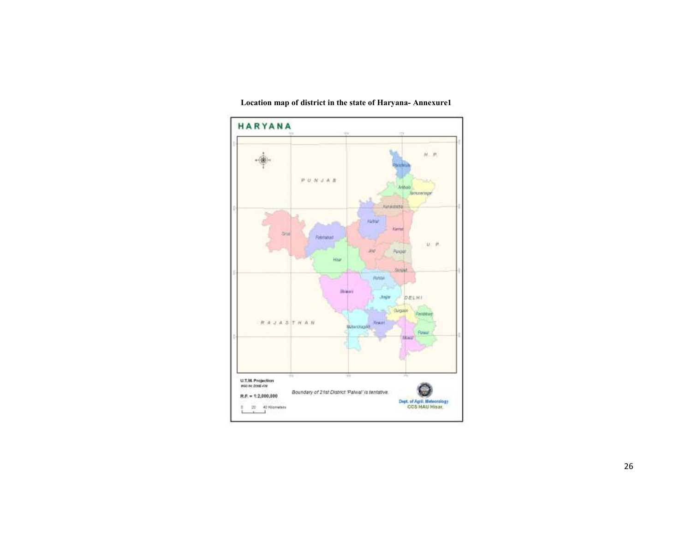

Location map of district in the state of Haryana- Annexure1